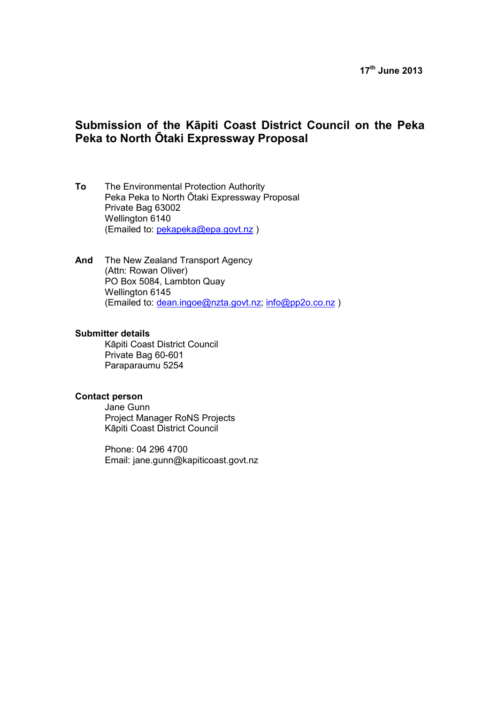# **17th June 2013**

# **Submission of the Kāpiti Coast District Council on the Peka Peka to North Ōtaki Expressway Proposal**

- **To** The Environmental Protection Authority Peka Peka to North Ōtaki Expressway Proposal Private Bag 63002 Wellington 6140 (Emailed to: pekapeka@epa.govt.nz )
- **And** The New Zealand Transport Agency (Attn: Rowan Oliver) PO Box 5084, Lambton Quay Wellington 6145 (Emailed to: dean.ingoe@nzta.govt.nz; info@pp2o.co.nz )

#### **Submitter details**

Kāpiti Coast District Council Private Bag 60-601 Paraparaumu 5254

#### **Contact person**

Jane Gunn Project Manager RoNS Projects Kāpiti Coast District Council

Phone: 04 296 4700 Email: jane.gunn@kapiticoast.govt.nz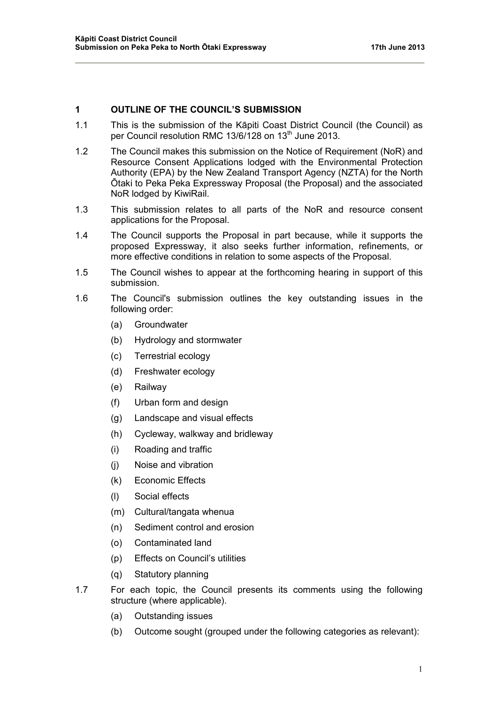# **1 OUTLINE OF THE COUNCIL'S SUBMISSION**

- 1.1 This is the submission of the Kāpiti Coast District Council (the Council) as per Council resolution RMC 13/6/128 on 13<sup>th</sup> June 2013.
- 1.2 The Council makes this submission on the Notice of Requirement (NoR) and Resource Consent Applications lodged with the Environmental Protection Authority (EPA) by the New Zealand Transport Agency (NZTA) for the North Ōtaki to Peka Peka Expressway Proposal (the Proposal) and the associated NoR lodged by KiwiRail.
- 1.3 This submission relates to all parts of the NoR and resource consent applications for the Proposal.
- 1.4 The Council supports the Proposal in part because, while it supports the proposed Expressway, it also seeks further information, refinements, or more effective conditions in relation to some aspects of the Proposal.
- 1.5 The Council wishes to appear at the forthcoming hearing in support of this submission.
- 1.6 The Council's submission outlines the key outstanding issues in the following order:
	- (a) Groundwater
	- (b) Hydrology and stormwater
	- (c) Terrestrial ecology
	- (d) Freshwater ecology
	- (e) Railway
	- (f) Urban form and design
	- (g) Landscape and visual effects
	- (h) Cycleway, walkway and bridleway
	- (i) Roading and traffic
	- (j) Noise and vibration
	- (k) Economic Effects
	- (l) Social effects
	- (m) Cultural/tangata whenua
	- (n) Sediment control and erosion
	- (o) Contaminated land
	- (p) Effects on Council's utilities
	- (q) Statutory planning
- 1.7 For each topic, the Council presents its comments using the following structure (where applicable).
	- (a) Outstanding issues
	- (b) Outcome sought (grouped under the following categories as relevant):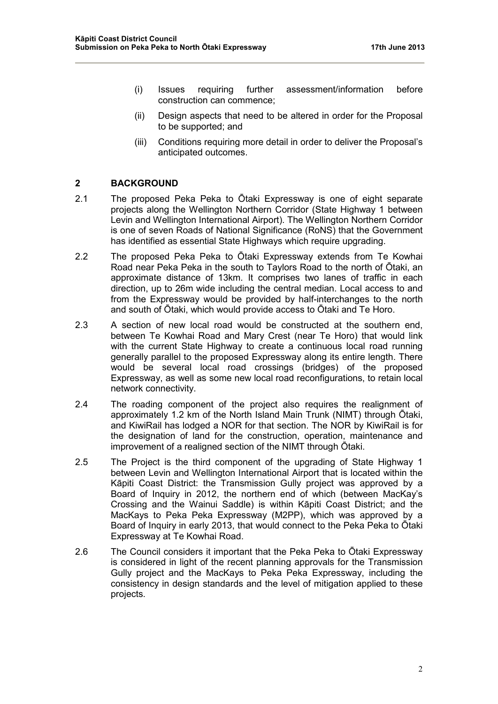- (i) Issues requiring further assessment/information before construction can commence;
- (ii) Design aspects that need to be altered in order for the Proposal to be supported; and
- (iii) Conditions requiring more detail in order to deliver the Proposal's anticipated outcomes.

### **2 BACKGROUND**

- 2.1 The proposed Peka Peka to Ōtaki Expressway is one of eight separate projects along the Wellington Northern Corridor (State Highway 1 between Levin and Wellington International Airport). The Wellington Northern Corridor is one of seven Roads of National Significance (RoNS) that the Government has identified as essential State Highways which require upgrading.
- 2.2 The proposed Peka Peka to Ōtaki Expressway extends from Te Kowhai Road near Peka Peka in the south to Taylors Road to the north of Ōtaki, an approximate distance of 13km. It comprises two lanes of traffic in each direction, up to 26m wide including the central median. Local access to and from the Expressway would be provided by half-interchanges to the north and south of Ōtaki, which would provide access to Ōtaki and Te Horo.
- 2.3 A section of new local road would be constructed at the southern end, between Te Kowhai Road and Mary Crest (near Te Horo) that would link with the current State Highway to create a continuous local road running generally parallel to the proposed Expressway along its entire length. There would be several local road crossings (bridges) of the proposed Expressway, as well as some new local road reconfigurations, to retain local network connectivity.
- 2.4 The roading component of the project also requires the realignment of approximately 1.2 km of the North Island Main Trunk (NIMT) through Ōtaki, and KiwiRail has lodged a NOR for that section. The NOR by KiwiRail is for the designation of land for the construction, operation, maintenance and improvement of a realigned section of the NIMT through Ōtaki.
- 2.5 The Project is the third component of the upgrading of State Highway 1 between Levin and Wellington International Airport that is located within the Kāpiti Coast District: the Transmission Gully project was approved by a Board of Inquiry in 2012, the northern end of which (between MacKay's Crossing and the Wainui Saddle) is within Kāpiti Coast District; and the MacKays to Peka Peka Expressway (M2PP), which was approved by a Board of Inquiry in early 2013, that would connect to the Peka Peka to Ōtaki Expressway at Te Kowhai Road.
- 2.6 The Council considers it important that the Peka Peka to Ōtaki Expressway is considered in light of the recent planning approvals for the Transmission Gully project and the MacKays to Peka Peka Expressway, including the consistency in design standards and the level of mitigation applied to these projects.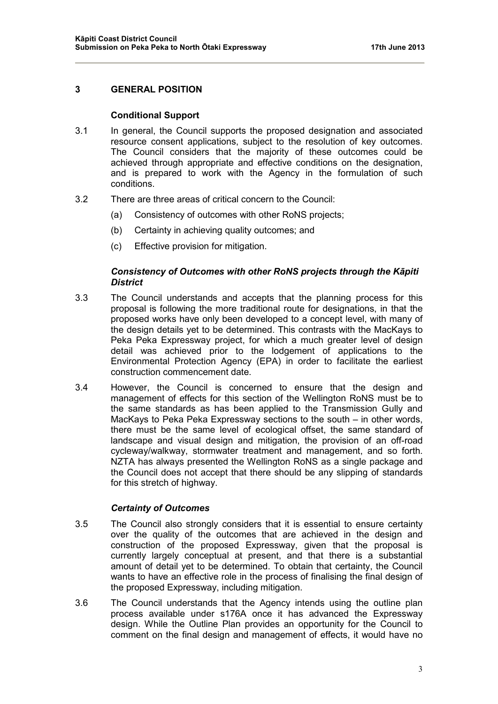# **3 GENERAL POSITION**

### **Conditional Support**

- 3.1 In general, the Council supports the proposed designation and associated resource consent applications, subject to the resolution of key outcomes. The Council considers that the majority of these outcomes could be achieved through appropriate and effective conditions on the designation, and is prepared to work with the Agency in the formulation of such conditions.
- 3.2 There are three areas of critical concern to the Council:
	- (a) Consistency of outcomes with other RoNS projects;
	- (b) Certainty in achieving quality outcomes; and
	- (c) Effective provision for mitigation.

# *Consistency of Outcomes with other RoNS projects through the Kāpiti District*

- 3.3 The Council understands and accepts that the planning process for this proposal is following the more traditional route for designations, in that the proposed works have only been developed to a concept level, with many of the design details yet to be determined. This contrasts with the MacKays to Peka Peka Expressway project, for which a much greater level of design detail was achieved prior to the lodgement of applications to the Environmental Protection Agency (EPA) in order to facilitate the earliest construction commencement date.
- 3.4 However, the Council is concerned to ensure that the design and management of effects for this section of the Wellington RoNS must be to the same standards as has been applied to the Transmission Gully and MacKays to Peka Peka Expressway sections to the south – in other words, there must be the same level of ecological offset, the same standard of landscape and visual design and mitigation, the provision of an off-road cycleway/walkway, stormwater treatment and management, and so forth. NZTA has always presented the Wellington RoNS as a single package and the Council does not accept that there should be any slipping of standards for this stretch of highway.

#### *Certainty of Outcomes*

- 3.5 The Council also strongly considers that it is essential to ensure certainty over the quality of the outcomes that are achieved in the design and construction of the proposed Expressway, given that the proposal is currently largely conceptual at present, and that there is a substantial amount of detail yet to be determined. To obtain that certainty, the Council wants to have an effective role in the process of finalising the final design of the proposed Expressway, including mitigation.
- 3.6 The Council understands that the Agency intends using the outline plan process available under s176A once it has advanced the Expressway design. While the Outline Plan provides an opportunity for the Council to comment on the final design and management of effects, it would have no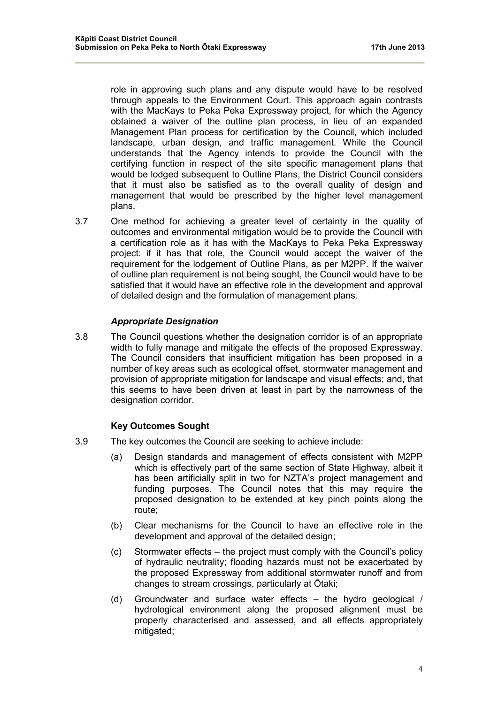role in approving such plans and any dispute would have to be resolved through appeals to the Environment Court. This approach again contrasts with the MacKays to Peka Peka Expressway project, for which the Agency obtained a waiver of the outline plan process, in lieu of an expanded Management Plan process for certification by the Council, which included landscape, urban design, and traffic management. While the Council understands that the Agency intends to provide the Council with the certifying function in respect of the site specific management plans that would be lodged subsequent to Outline Plans, the District Council considers that it must also be satisfied as to the overall quality of design and management that would be prescribed by the higher level management plans.

3.7 One method for achieving a greater level of certainty in the quality of outcomes and environmental mitigation would be to provide the Council with a certification role as it has with the MacKays to Peka Peka Expressway project: if it has that role, the Council would accept the waiver of the requirement for the lodgement of Outline Plans, as per M2PP. If the waiver of outline plan requirement is not being sought, the Council would have to be satisfied that it would have an effective role in the development and approval of detailed design and the formulation of management plans.

# *Appropriate Designation*

3.8 The Council questions whether the designation corridor is of an appropriate width to fully manage and mitigate the effects of the proposed Expressway. The Council considers that insufficient mitigation has been proposed in a number of key areas such as ecological offset, stormwater management and provision of appropriate mitigation for landscape and visual effects; and, that this seems to have been driven at least in part by the narrowness of the designation corridor.

# **Key Outcomes Sought**

- 3.9 The key outcomes the Council are seeking to achieve include:
	- (a) Design standards and management of effects consistent with M2PP which is effectively part of the same section of State Highway, albeit it has been artificially split in two for NZTA's project management and funding purposes. The Council notes that this may require the proposed designation to be extended at key pinch points along the route;
	- (b) Clear mechanisms for the Council to have an effective role in the development and approval of the detailed design;
	- (c) Stormwater effects the project must comply with the Council's policy of hydraulic neutrality; flooding hazards must not be exacerbated by the proposed Expressway from additional stormwater runoff and from changes to stream crossings, particularly at Ōtaki;
	- (d) Groundwater and surface water effects the hydro geological / hydrological environment along the proposed alignment must be properly characterised and assessed, and all effects appropriately mitigated: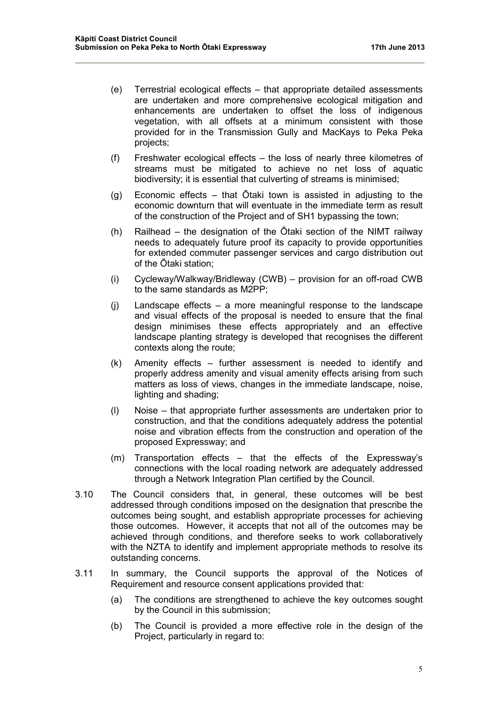- (e) Terrestrial ecological effects that appropriate detailed assessments are undertaken and more comprehensive ecological mitigation and enhancements are undertaken to offset the loss of indigenous vegetation, with all offsets at a minimum consistent with those provided for in the Transmission Gully and MacKays to Peka Peka projects;
- (f) Freshwater ecological effects the loss of nearly three kilometres of streams must be mitigated to achieve no net loss of aquatic biodiversity; it is essential that culverting of streams is minimised;
- (g) Economic effects that Ōtaki town is assisted in adjusting to the economic downturn that will eventuate in the immediate term as result of the construction of the Project and of SH1 bypassing the town;
- (h) Railhead the designation of the Ōtaki section of the NIMT railway needs to adequately future proof its capacity to provide opportunities for extended commuter passenger services and cargo distribution out of the Ōtaki station;
- (i) Cycleway/Walkway/Bridleway (CWB) provision for an off-road CWB to the same standards as M2PP;
- (j) Landscape effects a more meaningful response to the landscape and visual effects of the proposal is needed to ensure that the final design minimises these effects appropriately and an effective landscape planting strategy is developed that recognises the different contexts along the route;
- (k) Amenity effects further assessment is needed to identify and properly address amenity and visual amenity effects arising from such matters as loss of views, changes in the immediate landscape, noise, lighting and shading;
- (l) Noise that appropriate further assessments are undertaken prior to construction, and that the conditions adequately address the potential noise and vibration effects from the construction and operation of the proposed Expressway; and
- (m) Transportation effects that the effects of the Expressway's connections with the local roading network are adequately addressed through a Network Integration Plan certified by the Council.
- 3.10 The Council considers that, in general, these outcomes will be best addressed through conditions imposed on the designation that prescribe the outcomes being sought, and establish appropriate processes for achieving those outcomes. However, it accepts that not all of the outcomes may be achieved through conditions, and therefore seeks to work collaboratively with the NZTA to identify and implement appropriate methods to resolve its outstanding concerns.
- 3.11 In summary, the Council supports the approval of the Notices of Requirement and resource consent applications provided that:
	- (a) The conditions are strengthened to achieve the key outcomes sought by the Council in this submission;
	- (b) The Council is provided a more effective role in the design of the Project, particularly in regard to: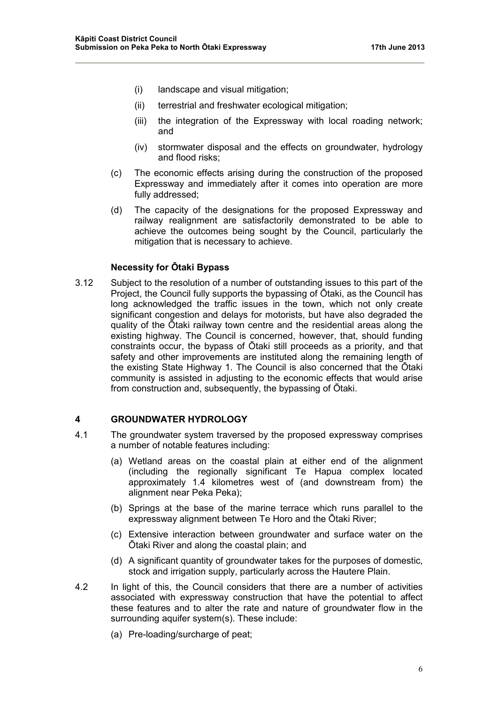- (i) landscape and visual mitigation;
- (ii) terrestrial and freshwater ecological mitigation;
- (iii) the integration of the Expressway with local roading network; and
- (iv) stormwater disposal and the effects on groundwater, hydrology and flood risks;
- (c) The economic effects arising during the construction of the proposed Expressway and immediately after it comes into operation are more fully addressed;
- (d) The capacity of the designations for the proposed Expressway and railway realignment are satisfactorily demonstrated to be able to achieve the outcomes being sought by the Council, particularly the mitigation that is necessary to achieve.

### **Necessity for Ōtaki Bypass**

3.12 Subject to the resolution of a number of outstanding issues to this part of the Project, the Council fully supports the bypassing of Ōtaki, as the Council has long acknowledged the traffic issues in the town, which not only create significant congestion and delays for motorists, but have also degraded the quality of the Ōtaki railway town centre and the residential areas along the existing highway. The Council is concerned, however, that, should funding constraints occur, the bypass of Ōtaki still proceeds as a priority, and that safety and other improvements are instituted along the remaining length of the existing State Highway 1. The Council is also concerned that the Ōtaki community is assisted in adjusting to the economic effects that would arise from construction and, subsequently, the bypassing of Ōtaki.

### **4 GROUNDWATER HYDROLOGY**

- 4.1 The groundwater system traversed by the proposed expressway comprises a number of notable features including:
	- (a) Wetland areas on the coastal plain at either end of the alignment (including the regionally significant Te Hapua complex located approximately 1.4 kilometres west of (and downstream from) the alignment near Peka Peka);
	- (b) Springs at the base of the marine terrace which runs parallel to the expressway alignment between Te Horo and the Ōtaki River;
	- (c) Extensive interaction between groundwater and surface water on the Ōtaki River and along the coastal plain; and
	- (d) A significant quantity of groundwater takes for the purposes of domestic, stock and irrigation supply, particularly across the Hautere Plain.
- 4.2 In light of this, the Council considers that there are a number of activities associated with expressway construction that have the potential to affect these features and to alter the rate and nature of groundwater flow in the surrounding aquifer system(s). These include:
	- (a) Pre-loading/surcharge of peat;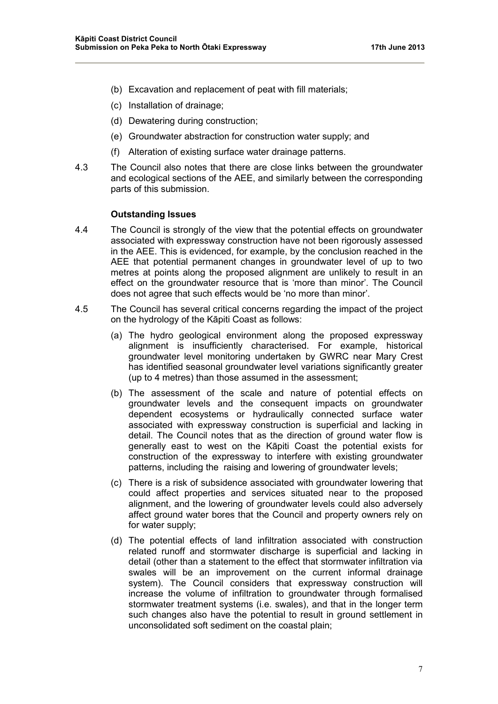- (b) Excavation and replacement of peat with fill materials;
- (c) Installation of drainage;
- (d) Dewatering during construction;
- (e) Groundwater abstraction for construction water supply; and
- (f) Alteration of existing surface water drainage patterns.
- 4.3 The Council also notes that there are close links between the groundwater and ecological sections of the AEE, and similarly between the corresponding parts of this submission.

### **Outstanding Issues**

- 4.4 The Council is strongly of the view that the potential effects on groundwater associated with expressway construction have not been rigorously assessed in the AEE. This is evidenced, for example, by the conclusion reached in the AEE that potential permanent changes in groundwater level of up to two metres at points along the proposed alignment are unlikely to result in an effect on the groundwater resource that is 'more than minor'. The Council does not agree that such effects would be 'no more than minor'.
- 4.5 The Council has several critical concerns regarding the impact of the project on the hydrology of the Kāpiti Coast as follows:
	- (a) The hydro geological environment along the proposed expressway alignment is insufficiently characterised. For example, historical groundwater level monitoring undertaken by GWRC near Mary Crest has identified seasonal groundwater level variations significantly greater (up to 4 metres) than those assumed in the assessment;
	- (b) The assessment of the scale and nature of potential effects on groundwater levels and the consequent impacts on groundwater dependent ecosystems or hydraulically connected surface water associated with expressway construction is superficial and lacking in detail. The Council notes that as the direction of ground water flow is generally east to west on the Kāpiti Coast the potential exists for construction of the expressway to interfere with existing groundwater patterns, including the raising and lowering of groundwater levels;
	- (c) There is a risk of subsidence associated with groundwater lowering that could affect properties and services situated near to the proposed alignment, and the lowering of groundwater levels could also adversely affect ground water bores that the Council and property owners rely on for water supply;
	- (d) The potential effects of land infiltration associated with construction related runoff and stormwater discharge is superficial and lacking in detail (other than a statement to the effect that stormwater infiltration via swales will be an improvement on the current informal drainage system). The Council considers that expressway construction will increase the volume of infiltration to groundwater through formalised stormwater treatment systems (i.e. swales), and that in the longer term such changes also have the potential to result in ground settlement in unconsolidated soft sediment on the coastal plain;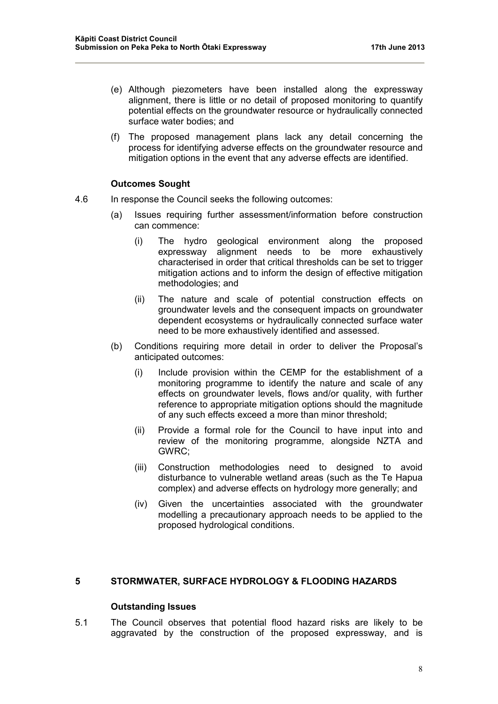- (e) Although piezometers have been installed along the expressway alignment, there is little or no detail of proposed monitoring to quantify potential effects on the groundwater resource or hydraulically connected surface water bodies; and
- (f) The proposed management plans lack any detail concerning the process for identifying adverse effects on the groundwater resource and mitigation options in the event that any adverse effects are identified.

### **Outcomes Sought**

- 4.6 In response the Council seeks the following outcomes:
	- (a) Issues requiring further assessment/information before construction can commence:
		- (i) The hydro geological environment along the proposed expressway alignment needs to be more exhaustively characterised in order that critical thresholds can be set to trigger mitigation actions and to inform the design of effective mitigation methodologies; and
		- (ii) The nature and scale of potential construction effects on groundwater levels and the consequent impacts on groundwater dependent ecosystems or hydraulically connected surface water need to be more exhaustively identified and assessed.
	- (b) Conditions requiring more detail in order to deliver the Proposal's anticipated outcomes:
		- (i) Include provision within the CEMP for the establishment of a monitoring programme to identify the nature and scale of any effects on groundwater levels, flows and/or quality, with further reference to appropriate mitigation options should the magnitude of any such effects exceed a more than minor threshold;
		- (ii) Provide a formal role for the Council to have input into and review of the monitoring programme, alongside NZTA and GWRC;
		- (iii) Construction methodologies need to designed to avoid disturbance to vulnerable wetland areas (such as the Te Hapua complex) and adverse effects on hydrology more generally; and
		- (iv) Given the uncertainties associated with the groundwater modelling a precautionary approach needs to be applied to the proposed hydrological conditions.

### **5 STORMWATER, SURFACE HYDROLOGY & FLOODING HAZARDS**

#### **Outstanding Issues**

5.1 The Council observes that potential flood hazard risks are likely to be aggravated by the construction of the proposed expressway, and is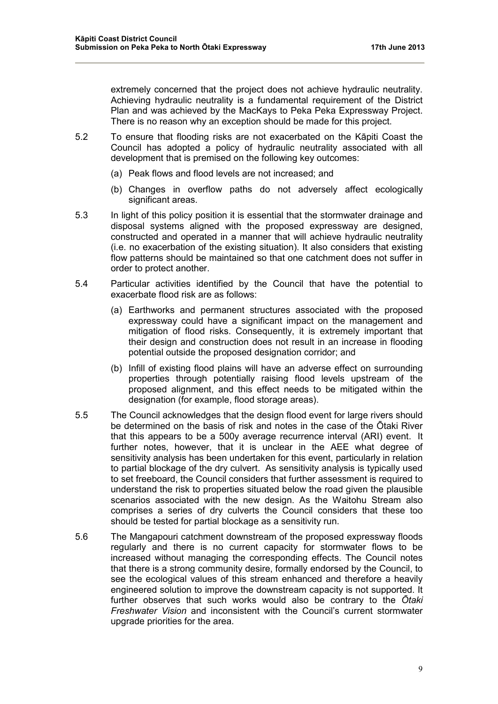extremely concerned that the project does not achieve hydraulic neutrality. Achieving hydraulic neutrality is a fundamental requirement of the District Plan and was achieved by the MacKays to Peka Peka Expressway Project. There is no reason why an exception should be made for this project.

- 5.2 To ensure that flooding risks are not exacerbated on the Kāpiti Coast the Council has adopted a policy of hydraulic neutrality associated with all development that is premised on the following key outcomes:
	- (a) Peak flows and flood levels are not increased; and
	- (b) Changes in overflow paths do not adversely affect ecologically significant areas.
- 5.3 In light of this policy position it is essential that the stormwater drainage and disposal systems aligned with the proposed expressway are designed, constructed and operated in a manner that will achieve hydraulic neutrality (i.e. no exacerbation of the existing situation). It also considers that existing flow patterns should be maintained so that one catchment does not suffer in order to protect another.
- 5.4 Particular activities identified by the Council that have the potential to exacerbate flood risk are as follows:
	- (a) Earthworks and permanent structures associated with the proposed expressway could have a significant impact on the management and mitigation of flood risks. Consequently, it is extremely important that their design and construction does not result in an increase in flooding potential outside the proposed designation corridor; and
	- (b) Infill of existing flood plains will have an adverse effect on surrounding properties through potentially raising flood levels upstream of the proposed alignment, and this effect needs to be mitigated within the designation (for example, flood storage areas).
- 5.5 The Council acknowledges that the design flood event for large rivers should be determined on the basis of risk and notes in the case of the Ōtaki River that this appears to be a 500y average recurrence interval (ARI) event. It further notes, however, that it is unclear in the AEE what degree of sensitivity analysis has been undertaken for this event, particularly in relation to partial blockage of the dry culvert. As sensitivity analysis is typically used to set freeboard, the Council considers that further assessment is required to understand the risk to properties situated below the road given the plausible scenarios associated with the new design. As the Waitohu Stream also comprises a series of dry culverts the Council considers that these too should be tested for partial blockage as a sensitivity run.
- 5.6 The Mangapouri catchment downstream of the proposed expressway floods regularly and there is no current capacity for stormwater flows to be increased without managing the corresponding effects. The Council notes that there is a strong community desire, formally endorsed by the Council, to see the ecological values of this stream enhanced and therefore a heavily engineered solution to improve the downstream capacity is not supported. It further observes that such works would also be contrary to the *Ōtaki Freshwater Vision* and inconsistent with the Council's current stormwater upgrade priorities for the area.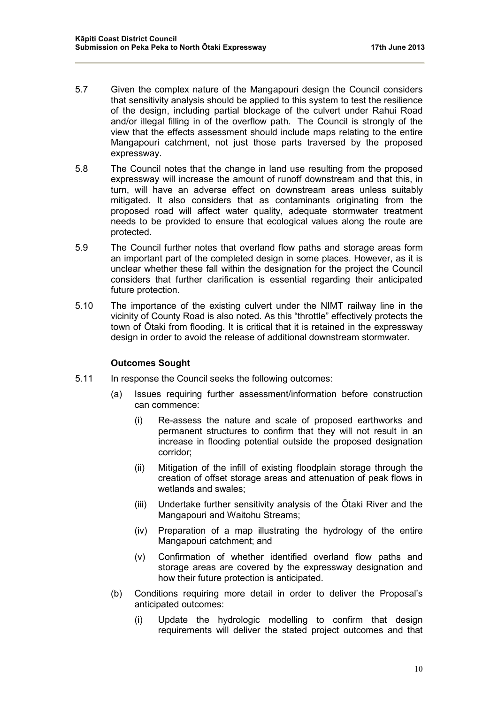- 5.7 Given the complex nature of the Mangapouri design the Council considers that sensitivity analysis should be applied to this system to test the resilience of the design, including partial blockage of the culvert under Rahui Road and/or illegal filling in of the overflow path. The Council is strongly of the view that the effects assessment should include maps relating to the entire Mangapouri catchment, not just those parts traversed by the proposed expressway.
- 5.8 The Council notes that the change in land use resulting from the proposed expressway will increase the amount of runoff downstream and that this, in turn, will have an adverse effect on downstream areas unless suitably mitigated. It also considers that as contaminants originating from the proposed road will affect water quality, adequate stormwater treatment needs to be provided to ensure that ecological values along the route are protected.
- 5.9 The Council further notes that overland flow paths and storage areas form an important part of the completed design in some places. However, as it is unclear whether these fall within the designation for the project the Council considers that further clarification is essential regarding their anticipated future protection.
- 5.10 The importance of the existing culvert under the NIMT railway line in the vicinity of County Road is also noted. As this "throttle" effectively protects the town of Ōtaki from flooding. It is critical that it is retained in the expressway design in order to avoid the release of additional downstream stormwater.

#### **Outcomes Sought**

- 5.11 In response the Council seeks the following outcomes:
	- (a) Issues requiring further assessment/information before construction can commence:
		- (i) Re-assess the nature and scale of proposed earthworks and permanent structures to confirm that they will not result in an increase in flooding potential outside the proposed designation corridor;
		- (ii) Mitigation of the infill of existing floodplain storage through the creation of offset storage areas and attenuation of peak flows in wetlands and swales;
		- (iii) Undertake further sensitivity analysis of the Ōtaki River and the Mangapouri and Waitohu Streams;
		- (iv) Preparation of a map illustrating the hydrology of the entire Mangapouri catchment; and
		- (v) Confirmation of whether identified overland flow paths and storage areas are covered by the expressway designation and how their future protection is anticipated.
	- (b) Conditions requiring more detail in order to deliver the Proposal's anticipated outcomes:
		- (i) Update the hydrologic modelling to confirm that design requirements will deliver the stated project outcomes and that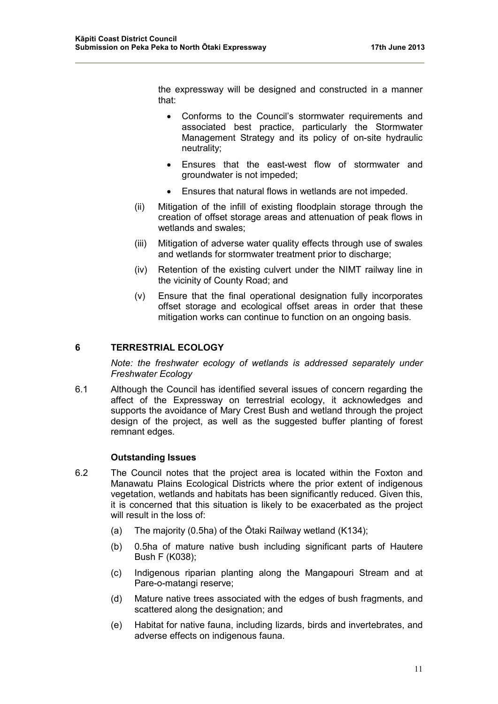the expressway will be designed and constructed in a manner that:

- Conforms to the Council's stormwater requirements and associated best practice, particularly the Stormwater Management Strategy and its policy of on-site hydraulic neutrality;
- Ensures that the east-west flow of stormwater and groundwater is not impeded;
- Ensures that natural flows in wetlands are not impeded.
- (ii) Mitigation of the infill of existing floodplain storage through the creation of offset storage areas and attenuation of peak flows in wetlands and swales;
- (iii) Mitigation of adverse water quality effects through use of swales and wetlands for stormwater treatment prior to discharge;
- (iv) Retention of the existing culvert under the NIMT railway line in the vicinity of County Road; and
- (v) Ensure that the final operational designation fully incorporates offset storage and ecological offset areas in order that these mitigation works can continue to function on an ongoing basis.

# **6 TERRESTRIAL ECOLOGY**

*Note: the freshwater ecology of wetlands is addressed separately under Freshwater Ecology* 

6.1 Although the Council has identified several issues of concern regarding the affect of the Expressway on terrestrial ecology, it acknowledges and supports the avoidance of Mary Crest Bush and wetland through the project design of the project, as well as the suggested buffer planting of forest remnant edges.

#### **Outstanding Issues**

- 6.2 The Council notes that the project area is located within the Foxton and Manawatu Plains Ecological Districts where the prior extent of indigenous vegetation, wetlands and habitats has been significantly reduced. Given this, it is concerned that this situation is likely to be exacerbated as the project will result in the loss of:
	- (a) The majority (0.5ha) of the Ōtaki Railway wetland (K134);
	- (b) 0.5ha of mature native bush including significant parts of Hautere Bush F (K038);
	- (c) Indigenous riparian planting along the Mangapouri Stream and at Pare-o-matangi reserve:
	- (d) Mature native trees associated with the edges of bush fragments, and scattered along the designation; and
	- (e) Habitat for native fauna, including lizards, birds and invertebrates, and adverse effects on indigenous fauna.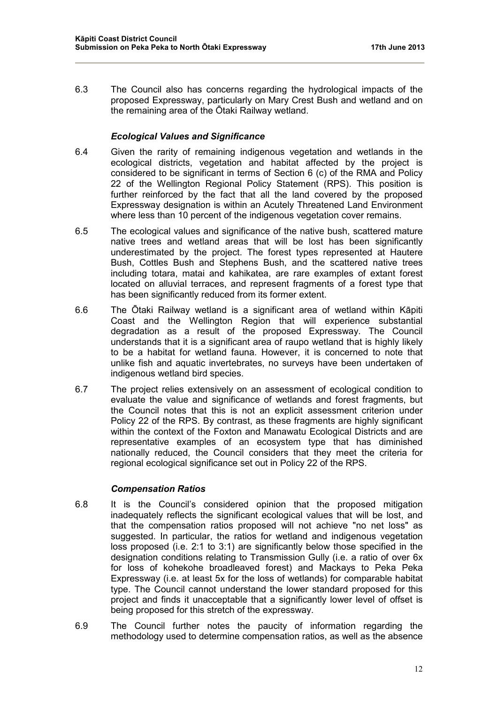6.3 The Council also has concerns regarding the hydrological impacts of the proposed Expressway, particularly on Mary Crest Bush and wetland and on the remaining area of the Ōtaki Railway wetland.

# *Ecological Values and Significance*

- 6.4 Given the rarity of remaining indigenous vegetation and wetlands in the ecological districts, vegetation and habitat affected by the project is considered to be significant in terms of Section 6 (c) of the RMA and Policy 22 of the Wellington Regional Policy Statement (RPS). This position is further reinforced by the fact that all the land covered by the proposed Expressway designation is within an Acutely Threatened Land Environment where less than 10 percent of the indigenous vegetation cover remains.
- 6.5 The ecological values and significance of the native bush, scattered mature native trees and wetland areas that will be lost has been significantly underestimated by the project. The forest types represented at Hautere Bush, Cottles Bush and Stephens Bush, and the scattered native trees including totara, matai and kahikatea, are rare examples of extant forest located on alluvial terraces, and represent fragments of a forest type that has been significantly reduced from its former extent.
- 6.6 The Ōtaki Railway wetland is a significant area of wetland within Kāpiti Coast and the Wellington Region that will experience substantial degradation as a result of the proposed Expressway. The Council understands that it is a significant area of raupo wetland that is highly likely to be a habitat for wetland fauna. However, it is concerned to note that unlike fish and aquatic invertebrates, no surveys have been undertaken of indigenous wetland bird species.
- 6.7 The project relies extensively on an assessment of ecological condition to evaluate the value and significance of wetlands and forest fragments, but the Council notes that this is not an explicit assessment criterion under Policy 22 of the RPS. By contrast, as these fragments are highly significant within the context of the Foxton and Manawatu Ecological Districts and are representative examples of an ecosystem type that has diminished nationally reduced, the Council considers that they meet the criteria for regional ecological significance set out in Policy 22 of the RPS.

# *Compensation Ratios*

- 6.8 It is the Council's considered opinion that the proposed mitigation inadequately reflects the significant ecological values that will be lost, and that the compensation ratios proposed will not achieve "no net loss" as suggested. In particular, the ratios for wetland and indigenous vegetation loss proposed (i.e. 2:1 to 3:1) are significantly below those specified in the designation conditions relating to Transmission Gully (i.e. a ratio of over 6x for loss of kohekohe broadleaved forest) and Mackays to Peka Peka Expressway (i.e. at least 5x for the loss of wetlands) for comparable habitat type. The Council cannot understand the lower standard proposed for this project and finds it unacceptable that a significantly lower level of offset is being proposed for this stretch of the expressway.
- 6.9 The Council further notes the paucity of information regarding the methodology used to determine compensation ratios, as well as the absence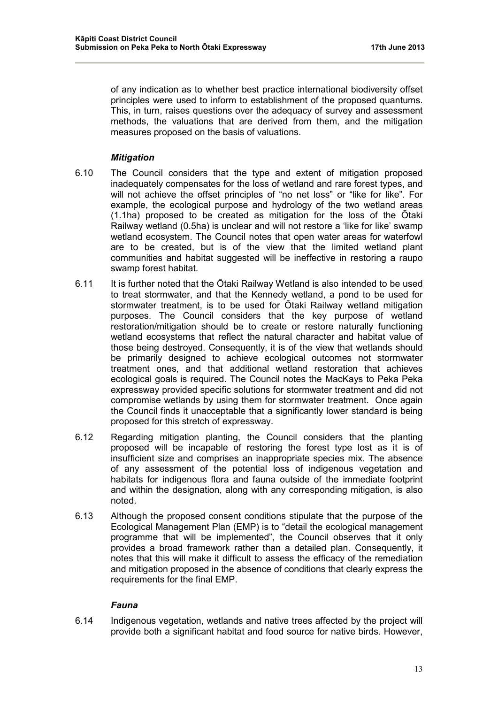of any indication as to whether best practice international biodiversity offset principles were used to inform to establishment of the proposed quantums. This, in turn, raises questions over the adequacy of survey and assessment methods, the valuations that are derived from them, and the mitigation measures proposed on the basis of valuations.

### *Mitigation*

- 6.10 The Council considers that the type and extent of mitigation proposed inadequately compensates for the loss of wetland and rare forest types, and will not achieve the offset principles of "no net loss" or "like for like". For example, the ecological purpose and hydrology of the two wetland areas (1.1ha) proposed to be created as mitigation for the loss of the Ōtaki Railway wetland (0.5ha) is unclear and will not restore a 'like for like' swamp wetland ecosystem. The Council notes that open water areas for waterfowl are to be created, but is of the view that the limited wetland plant communities and habitat suggested will be ineffective in restoring a raupo swamp forest habitat.
- 6.11 It is further noted that the Ōtaki Railway Wetland is also intended to be used to treat stormwater, and that the Kennedy wetland, a pond to be used for stormwater treatment, is to be used for Ōtaki Railway wetland mitigation purposes. The Council considers that the key purpose of wetland restoration/mitigation should be to create or restore naturally functioning wetland ecosystems that reflect the natural character and habitat value of those being destroyed. Consequently, it is of the view that wetlands should be primarily designed to achieve ecological outcomes not stormwater treatment ones, and that additional wetland restoration that achieves ecological goals is required. The Council notes the MacKays to Peka Peka expressway provided specific solutions for stormwater treatment and did not compromise wetlands by using them for stormwater treatment. Once again the Council finds it unacceptable that a significantly lower standard is being proposed for this stretch of expressway.
- 6.12 Regarding mitigation planting, the Council considers that the planting proposed will be incapable of restoring the forest type lost as it is of insufficient size and comprises an inappropriate species mix. The absence of any assessment of the potential loss of indigenous vegetation and habitats for indigenous flora and fauna outside of the immediate footprint and within the designation, along with any corresponding mitigation, is also noted.
- 6.13 Although the proposed consent conditions stipulate that the purpose of the Ecological Management Plan (EMP) is to "detail the ecological management programme that will be implemented", the Council observes that it only provides a broad framework rather than a detailed plan. Consequently, it notes that this will make it difficult to assess the efficacy of the remediation and mitigation proposed in the absence of conditions that clearly express the requirements for the final EMP.

#### *Fauna*

6.14 Indigenous vegetation, wetlands and native trees affected by the project will provide both a significant habitat and food source for native birds. However,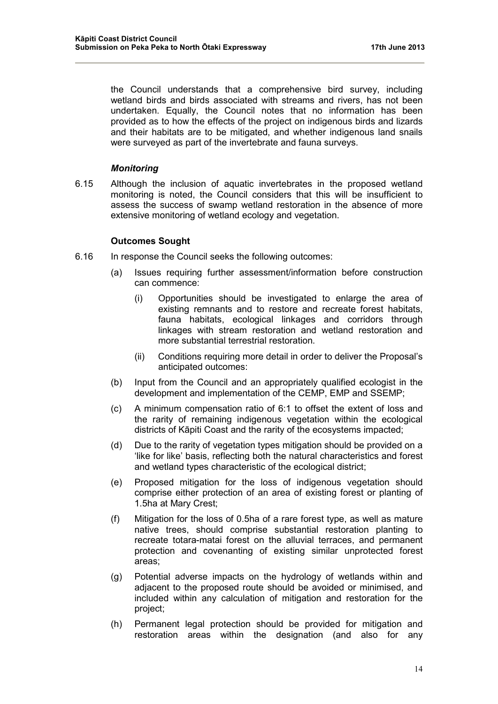the Council understands that a comprehensive bird survey, including wetland birds and birds associated with streams and rivers, has not been undertaken. Equally, the Council notes that no information has been provided as to how the effects of the project on indigenous birds and lizards and their habitats are to be mitigated, and whether indigenous land snails were surveyed as part of the invertebrate and fauna surveys.

### *Monitoring*

6.15 Although the inclusion of aquatic invertebrates in the proposed wetland monitoring is noted, the Council considers that this will be insufficient to assess the success of swamp wetland restoration in the absence of more extensive monitoring of wetland ecology and vegetation.

### **Outcomes Sought**

- 6.16 In response the Council seeks the following outcomes:
	- (a) Issues requiring further assessment/information before construction can commence:
		- (i) Opportunities should be investigated to enlarge the area of existing remnants and to restore and recreate forest habitats, fauna habitats, ecological linkages and corridors through linkages with stream restoration and wetland restoration and more substantial terrestrial restoration.
		- (ii) Conditions requiring more detail in order to deliver the Proposal's anticipated outcomes:
	- (b) Input from the Council and an appropriately qualified ecologist in the development and implementation of the CEMP, EMP and SSEMP;
	- (c) A minimum compensation ratio of 6:1 to offset the extent of loss and the rarity of remaining indigenous vegetation within the ecological districts of Kāpiti Coast and the rarity of the ecosystems impacted;
	- (d) Due to the rarity of vegetation types mitigation should be provided on a 'like for like' basis, reflecting both the natural characteristics and forest and wetland types characteristic of the ecological district;
	- (e) Proposed mitigation for the loss of indigenous vegetation should comprise either protection of an area of existing forest or planting of 1.5ha at Mary Crest;
	- (f) Mitigation for the loss of 0.5ha of a rare forest type, as well as mature native trees, should comprise substantial restoration planting to recreate totara-matai forest on the alluvial terraces, and permanent protection and covenanting of existing similar unprotected forest areas;
	- (g) Potential adverse impacts on the hydrology of wetlands within and adjacent to the proposed route should be avoided or minimised, and included within any calculation of mitigation and restoration for the project;
	- (h) Permanent legal protection should be provided for mitigation and restoration areas within the designation (and also for any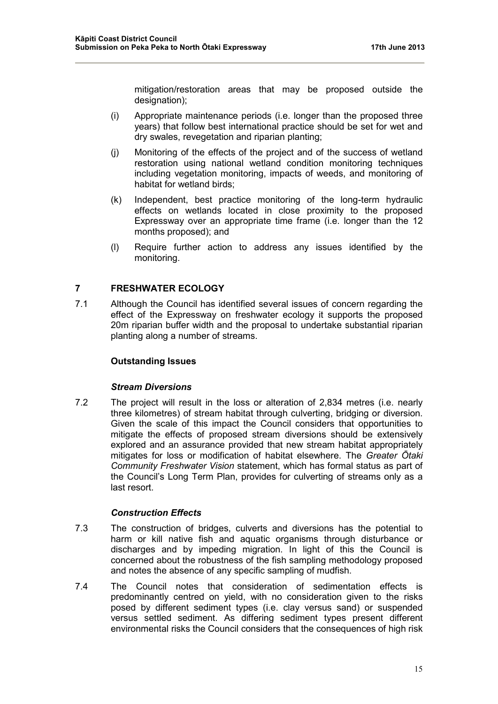mitigation/restoration areas that may be proposed outside the designation);

- (i) Appropriate maintenance periods (i.e. longer than the proposed three years) that follow best international practice should be set for wet and dry swales, revegetation and riparian planting;
- (j) Monitoring of the effects of the project and of the success of wetland restoration using national wetland condition monitoring techniques including vegetation monitoring, impacts of weeds, and monitoring of habitat for wetland birds;
- (k) Independent, best practice monitoring of the long-term hydraulic effects on wetlands located in close proximity to the proposed Expressway over an appropriate time frame (i.e. longer than the 12 months proposed); and
- (l) Require further action to address any issues identified by the monitoring.

# **7 FRESHWATER ECOLOGY**

7.1 Although the Council has identified several issues of concern regarding the effect of the Expressway on freshwater ecology it supports the proposed 20m riparian buffer width and the proposal to undertake substantial riparian planting along a number of streams.

# **Outstanding Issues**

#### *Stream Diversions*

7.2 The project will result in the loss or alteration of 2,834 metres (i.e. nearly three kilometres) of stream habitat through culverting, bridging or diversion. Given the scale of this impact the Council considers that opportunities to mitigate the effects of proposed stream diversions should be extensively explored and an assurance provided that new stream habitat appropriately mitigates for loss or modification of habitat elsewhere. The *Greater Ōtaki Community Freshwater Vision* statement, which has formal status as part of the Council's Long Term Plan, provides for culverting of streams only as a last resort.

# *Construction Effects*

- 7.3 The construction of bridges, culverts and diversions has the potential to harm or kill native fish and aquatic organisms through disturbance or discharges and by impeding migration. In light of this the Council is concerned about the robustness of the fish sampling methodology proposed and notes the absence of any specific sampling of mudfish.
- 7.4 The Council notes that consideration of sedimentation effects is predominantly centred on yield, with no consideration given to the risks posed by different sediment types (i.e. clay versus sand) or suspended versus settled sediment. As differing sediment types present different environmental risks the Council considers that the consequences of high risk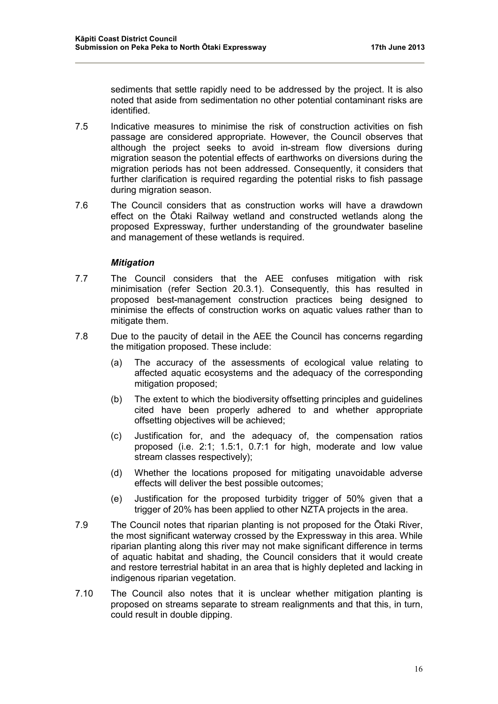sediments that settle rapidly need to be addressed by the project. It is also noted that aside from sedimentation no other potential contaminant risks are identified.

- 7.5 Indicative measures to minimise the risk of construction activities on fish passage are considered appropriate. However, the Council observes that although the project seeks to avoid in-stream flow diversions during migration season the potential effects of earthworks on diversions during the migration periods has not been addressed. Consequently, it considers that further clarification is required regarding the potential risks to fish passage during migration season.
- 7.6 The Council considers that as construction works will have a drawdown effect on the Ōtaki Railway wetland and constructed wetlands along the proposed Expressway, further understanding of the groundwater baseline and management of these wetlands is required.

### *Mitigation*

- 7.7 The Council considers that the AEE confuses mitigation with risk minimisation (refer Section 20.3.1). Consequently, this has resulted in proposed best-management construction practices being designed to minimise the effects of construction works on aquatic values rather than to mitigate them.
- 7.8 Due to the paucity of detail in the AEE the Council has concerns regarding the mitigation proposed. These include:
	- (a) The accuracy of the assessments of ecological value relating to affected aquatic ecosystems and the adequacy of the corresponding mitigation proposed;
	- (b) The extent to which the biodiversity offsetting principles and guidelines cited have been properly adhered to and whether appropriate offsetting objectives will be achieved;
	- (c) Justification for, and the adequacy of, the compensation ratios proposed (i.e. 2:1; 1.5:1, 0.7:1 for high, moderate and low value stream classes respectively);
	- (d) Whether the locations proposed for mitigating unavoidable adverse effects will deliver the best possible outcomes;
	- (e) Justification for the proposed turbidity trigger of 50% given that a trigger of 20% has been applied to other NZTA projects in the area.
- 7.9 The Council notes that riparian planting is not proposed for the Ōtaki River, the most significant waterway crossed by the Expressway in this area. While riparian planting along this river may not make significant difference in terms of aquatic habitat and shading, the Council considers that it would create and restore terrestrial habitat in an area that is highly depleted and lacking in indigenous riparian vegetation.
- 7.10 The Council also notes that it is unclear whether mitigation planting is proposed on streams separate to stream realignments and that this, in turn, could result in double dipping.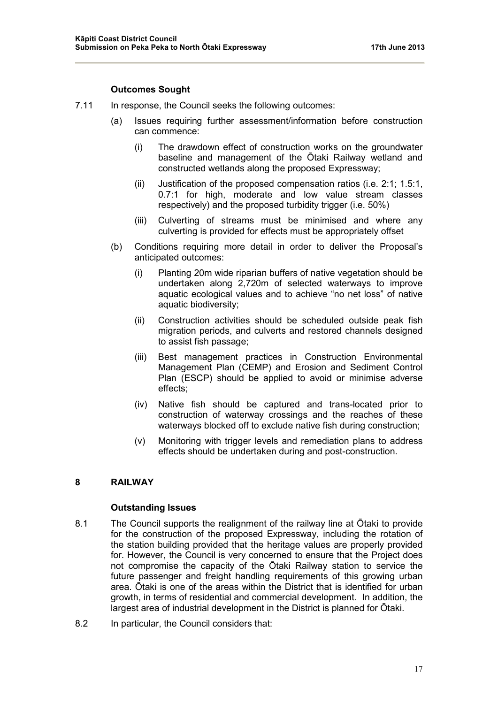### **Outcomes Sought**

- 7.11 In response, the Council seeks the following outcomes:
	- (a) Issues requiring further assessment/information before construction can commence:
		- (i) The drawdown effect of construction works on the groundwater baseline and management of the Ōtaki Railway wetland and constructed wetlands along the proposed Expressway;
		- (ii) Justification of the proposed compensation ratios (i.e. 2:1; 1.5:1, 0.7:1 for high, moderate and low value stream classes respectively) and the proposed turbidity trigger (i.e. 50%)
		- (iii) Culverting of streams must be minimised and where any culverting is provided for effects must be appropriately offset
	- (b) Conditions requiring more detail in order to deliver the Proposal's anticipated outcomes:
		- (i) Planting 20m wide riparian buffers of native vegetation should be undertaken along 2,720m of selected waterways to improve aquatic ecological values and to achieve "no net loss" of native aquatic biodiversity;
		- (ii) Construction activities should be scheduled outside peak fish migration periods, and culverts and restored channels designed to assist fish passage;
		- (iii) Best management practices in Construction Environmental Management Plan (CEMP) and Erosion and Sediment Control Plan (ESCP) should be applied to avoid or minimise adverse effects;
		- (iv) Native fish should be captured and trans-located prior to construction of waterway crossings and the reaches of these waterways blocked off to exclude native fish during construction;
		- (v) Monitoring with trigger levels and remediation plans to address effects should be undertaken during and post-construction.

### **8 RAILWAY**

#### **Outstanding Issues**

- 8.1 The Council supports the realignment of the railway line at Ōtaki to provide for the construction of the proposed Expressway, including the rotation of the station building provided that the heritage values are properly provided for. However, the Council is very concerned to ensure that the Project does not compromise the capacity of the Ōtaki Railway station to service the future passenger and freight handling requirements of this growing urban area. Ōtaki is one of the areas within the District that is identified for urban growth, in terms of residential and commercial development. In addition, the largest area of industrial development in the District is planned for Ōtaki.
- 8.2 In particular, the Council considers that: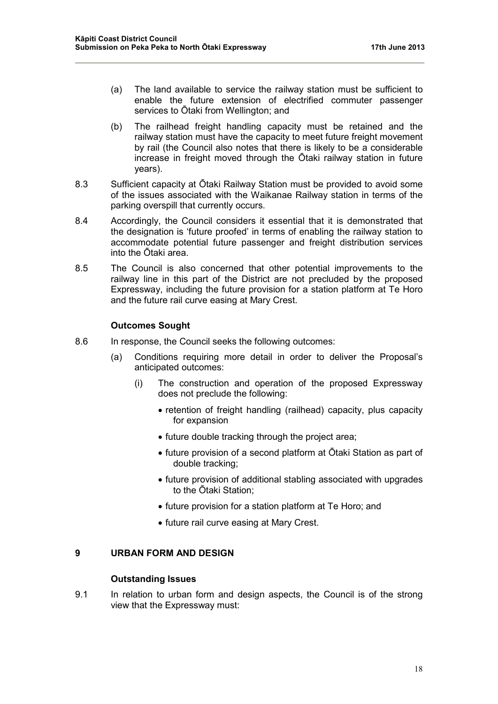- (a) The land available to service the railway station must be sufficient to enable the future extension of electrified commuter passenger services to Ōtaki from Wellington; and
- (b) The railhead freight handling capacity must be retained and the railway station must have the capacity to meet future freight movement by rail (the Council also notes that there is likely to be a considerable increase in freight moved through the Ōtaki railway station in future years).
- 8.3 Sufficient capacity at Ōtaki Railway Station must be provided to avoid some of the issues associated with the Waikanae Railway station in terms of the parking overspill that currently occurs.
- 8.4 Accordingly, the Council considers it essential that it is demonstrated that the designation is 'future proofed' in terms of enabling the railway station to accommodate potential future passenger and freight distribution services into the Ōtaki area.
- 8.5 The Council is also concerned that other potential improvements to the railway line in this part of the District are not precluded by the proposed Expressway, including the future provision for a station platform at Te Horo and the future rail curve easing at Mary Crest.

### **Outcomes Sought**

- 8.6 In response, the Council seeks the following outcomes:
	- (a) Conditions requiring more detail in order to deliver the Proposal's anticipated outcomes:
		- (i) The construction and operation of the proposed Expressway does not preclude the following:
			- retention of freight handling (railhead) capacity, plus capacity for expansion
			- future double tracking through the project area;
			- future provision of a second platform at Ōtaki Station as part of double tracking;
			- future provision of additional stabling associated with upgrades to the Ōtaki Station;
			- future provision for a station platform at Te Horo; and
			- future rail curve easing at Mary Crest.

### **9 URBAN FORM AND DESIGN**

#### **Outstanding Issues**

9.1 In relation to urban form and design aspects, the Council is of the strong view that the Expressway must: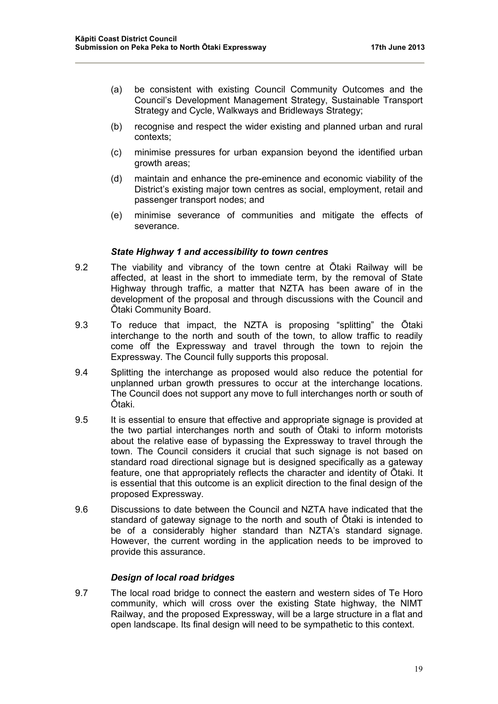- (a) be consistent with existing Council Community Outcomes and the Council's Development Management Strategy, Sustainable Transport Strategy and Cycle, Walkways and Bridleways Strategy;
- (b) recognise and respect the wider existing and planned urban and rural contexts;
- (c) minimise pressures for urban expansion beyond the identified urban growth areas;
- (d) maintain and enhance the pre-eminence and economic viability of the District's existing major town centres as social, employment, retail and passenger transport nodes; and
- (e) minimise severance of communities and mitigate the effects of severance.

### *State Highway 1 and accessibility to town centres*

- 9.2 The viability and vibrancy of the town centre at Ōtaki Railway will be affected, at least in the short to immediate term, by the removal of State Highway through traffic, a matter that NZTA has been aware of in the development of the proposal and through discussions with the Council and Ōtaki Community Board.
- 9.3 To reduce that impact, the NZTA is proposing "splitting" the Ōtaki interchange to the north and south of the town, to allow traffic to readily come off the Expressway and travel through the town to rejoin the Expressway. The Council fully supports this proposal.
- 9.4 Splitting the interchange as proposed would also reduce the potential for unplanned urban growth pressures to occur at the interchange locations. The Council does not support any move to full interchanges north or south of Ōtaki.
- 9.5 It is essential to ensure that effective and appropriate signage is provided at the two partial interchanges north and south of Ōtaki to inform motorists about the relative ease of bypassing the Expressway to travel through the town. The Council considers it crucial that such signage is not based on standard road directional signage but is designed specifically as a gateway feature, one that appropriately reflects the character and identity of Ōtaki. It is essential that this outcome is an explicit direction to the final design of the proposed Expressway.
- 9.6 Discussions to date between the Council and NZTA have indicated that the standard of gateway signage to the north and south of Ōtaki is intended to be of a considerably higher standard than NZTA's standard signage. However, the current wording in the application needs to be improved to provide this assurance.

#### *Design of local road bridges*

9.7 The local road bridge to connect the eastern and western sides of Te Horo community, which will cross over the existing State highway, the NIMT Railway, and the proposed Expressway, will be a large structure in a flat and open landscape. Its final design will need to be sympathetic to this context.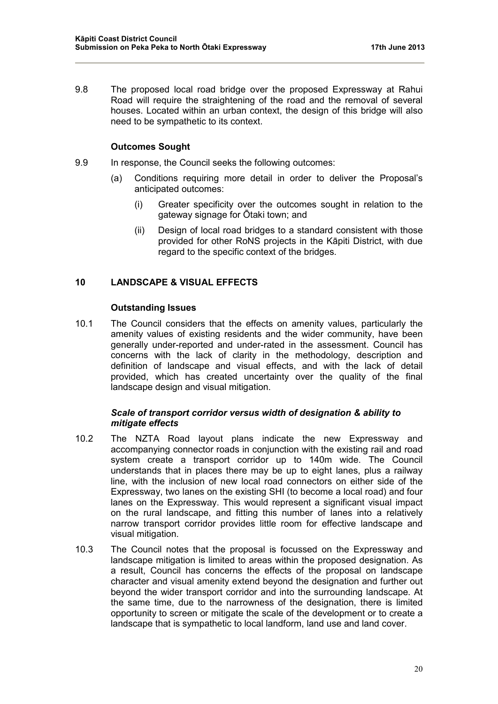9.8 The proposed local road bridge over the proposed Expressway at Rahui Road will require the straightening of the road and the removal of several houses. Located within an urban context, the design of this bridge will also need to be sympathetic to its context.

# **Outcomes Sought**

- 9.9 In response, the Council seeks the following outcomes:
	- (a) Conditions requiring more detail in order to deliver the Proposal's anticipated outcomes:
		- (i) Greater specificity over the outcomes sought in relation to the gateway signage for Ōtaki town; and
		- (ii) Design of local road bridges to a standard consistent with those provided for other RoNS projects in the Kāpiti District, with due regard to the specific context of the bridges.

### **10 LANDSCAPE & VISUAL EFFECTS**

#### **Outstanding Issues**

10.1 The Council considers that the effects on amenity values, particularly the amenity values of existing residents and the wider community, have been generally under-reported and under-rated in the assessment. Council has concerns with the lack of clarity in the methodology, description and definition of landscape and visual effects, and with the lack of detail provided, which has created uncertainty over the quality of the final landscape design and visual mitigation.

### *Scale of transport corridor versus width of designation & ability to mitigate effects*

- 10.2 The NZTA Road layout plans indicate the new Expressway and accompanying connector roads in conjunction with the existing rail and road system create a transport corridor up to 140m wide. The Council understands that in places there may be up to eight lanes, plus a railway line, with the inclusion of new local road connectors on either side of the Expressway, two lanes on the existing SHI (to become a local road) and four lanes on the Expressway. This would represent a significant visual impact on the rural landscape, and fitting this number of lanes into a relatively narrow transport corridor provides little room for effective landscape and visual mitigation.
- 10.3 The Council notes that the proposal is focussed on the Expressway and landscape mitigation is limited to areas within the proposed designation. As a result, Council has concerns the effects of the proposal on landscape character and visual amenity extend beyond the designation and further out beyond the wider transport corridor and into the surrounding landscape. At the same time, due to the narrowness of the designation, there is limited opportunity to screen or mitigate the scale of the development or to create a landscape that is sympathetic to local landform, land use and land cover.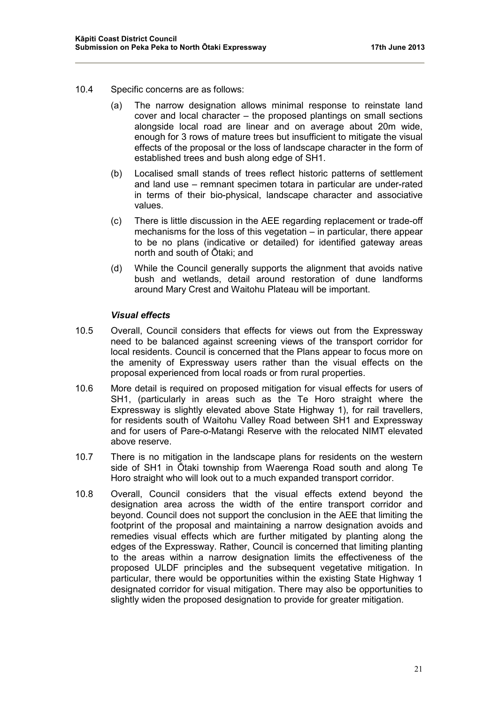- 10.4 Specific concerns are as follows:
	- (a) The narrow designation allows minimal response to reinstate land cover and local character – the proposed plantings on small sections alongside local road are linear and on average about 20m wide, enough for 3 rows of mature trees but insufficient to mitigate the visual effects of the proposal or the loss of landscape character in the form of established trees and bush along edge of SH1.
	- (b) Localised small stands of trees reflect historic patterns of settlement and land use – remnant specimen totara in particular are under-rated in terms of their bio-physical, landscape character and associative values.
	- (c) There is little discussion in the AEE regarding replacement or trade-off mechanisms for the loss of this vegetation – in particular, there appear to be no plans (indicative or detailed) for identified gateway areas north and south of Ōtaki; and
	- (d) While the Council generally supports the alignment that avoids native bush and wetlands, detail around restoration of dune landforms around Mary Crest and Waitohu Plateau will be important.

#### *Visual effects*

- 10.5 Overall, Council considers that effects for views out from the Expressway need to be balanced against screening views of the transport corridor for local residents. Council is concerned that the Plans appear to focus more on the amenity of Expressway users rather than the visual effects on the proposal experienced from local roads or from rural properties.
- 10.6 More detail is required on proposed mitigation for visual effects for users of SH1, (particularly in areas such as the Te Horo straight where the Expressway is slightly elevated above State Highway 1), for rail travellers, for residents south of Waitohu Valley Road between SH1 and Expressway and for users of Pare-o-Matangi Reserve with the relocated NIMT elevated above reserve.
- 10.7 There is no mitigation in the landscape plans for residents on the western side of SH1 in Ōtaki township from Waerenga Road south and along Te Horo straight who will look out to a much expanded transport corridor.
- 10.8 Overall, Council considers that the visual effects extend beyond the designation area across the width of the entire transport corridor and beyond. Council does not support the conclusion in the AEE that limiting the footprint of the proposal and maintaining a narrow designation avoids and remedies visual effects which are further mitigated by planting along the edges of the Expressway. Rather, Council is concerned that limiting planting to the areas within a narrow designation limits the effectiveness of the proposed ULDF principles and the subsequent vegetative mitigation. In particular, there would be opportunities within the existing State Highway 1 designated corridor for visual mitigation. There may also be opportunities to slightly widen the proposed designation to provide for greater mitigation.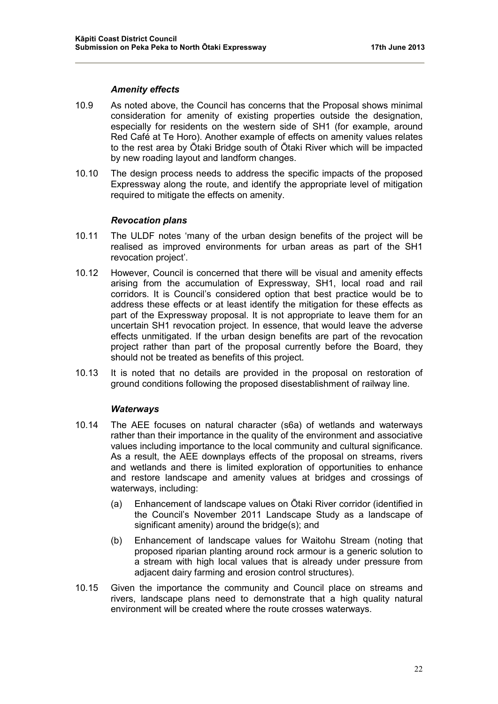#### *Amenity effects*

- 10.9 As noted above, the Council has concerns that the Proposal shows minimal consideration for amenity of existing properties outside the designation, especially for residents on the western side of SH1 (for example, around Red Café at Te Horo). Another example of effects on amenity values relates to the rest area by Ōtaki Bridge south of Ōtaki River which will be impacted by new roading layout and landform changes.
- 10.10 The design process needs to address the specific impacts of the proposed Expressway along the route, and identify the appropriate level of mitigation required to mitigate the effects on amenity.

### *Revocation plans*

- 10.11 The ULDF notes 'many of the urban design benefits of the project will be realised as improved environments for urban areas as part of the SH1 revocation project'.
- 10.12 However, Council is concerned that there will be visual and amenity effects arising from the accumulation of Expressway, SH1, local road and rail corridors. It is Council's considered option that best practice would be to address these effects or at least identify the mitigation for these effects as part of the Expressway proposal. It is not appropriate to leave them for an uncertain SH1 revocation project. In essence, that would leave the adverse effects unmitigated. If the urban design benefits are part of the revocation project rather than part of the proposal currently before the Board, they should not be treated as benefits of this project.
- 10.13 It is noted that no details are provided in the proposal on restoration of ground conditions following the proposed disestablishment of railway line.

# *Waterways*

- 10.14 The AEE focuses on natural character (s6a) of wetlands and waterways rather than their importance in the quality of the environment and associative values including importance to the local community and cultural significance. As a result, the AEE downplays effects of the proposal on streams, rivers and wetlands and there is limited exploration of opportunities to enhance and restore landscape and amenity values at bridges and crossings of waterways, including:
	- (a) Enhancement of landscape values on Ōtaki River corridor (identified in the Council's November 2011 Landscape Study as a landscape of significant amenity) around the bridge(s); and
	- (b) Enhancement of landscape values for Waitohu Stream (noting that proposed riparian planting around rock armour is a generic solution to a stream with high local values that is already under pressure from adjacent dairy farming and erosion control structures).
- 10.15 Given the importance the community and Council place on streams and rivers, landscape plans need to demonstrate that a high quality natural environment will be created where the route crosses waterways.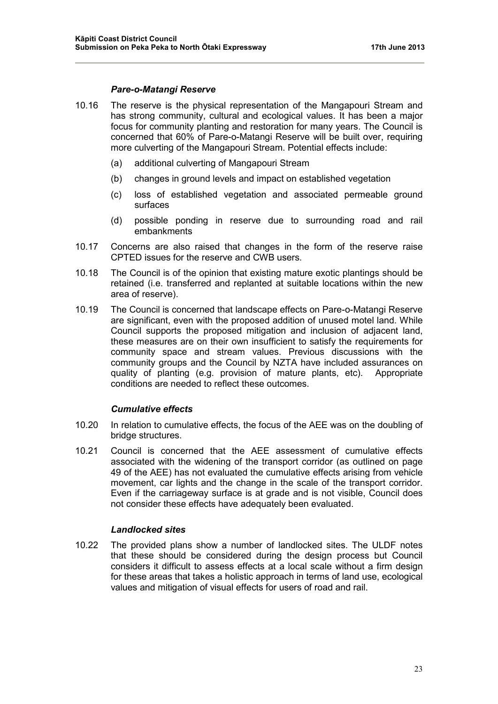#### *Pare-o-Matangi Reserve*

- 10.16 The reserve is the physical representation of the Mangapouri Stream and has strong community, cultural and ecological values. It has been a major focus for community planting and restoration for many years. The Council is concerned that 60% of Pare-o-Matangi Reserve will be built over, requiring more culverting of the Mangapouri Stream. Potential effects include:
	- (a) additional culverting of Mangapouri Stream
	- (b) changes in ground levels and impact on established vegetation
	- (c) loss of established vegetation and associated permeable ground surfaces
	- (d) possible ponding in reserve due to surrounding road and rail embankments
- 10.17 Concerns are also raised that changes in the form of the reserve raise CPTED issues for the reserve and CWB users.
- 10.18 The Council is of the opinion that existing mature exotic plantings should be retained (i.e. transferred and replanted at suitable locations within the new area of reserve).
- 10.19 The Council is concerned that landscape effects on Pare-o-Matangi Reserve are significant, even with the proposed addition of unused motel land. While Council supports the proposed mitigation and inclusion of adjacent land, these measures are on their own insufficient to satisfy the requirements for community space and stream values. Previous discussions with the community groups and the Council by NZTA have included assurances on quality of planting (e.g. provision of mature plants, etc). Appropriate conditions are needed to reflect these outcomes.

#### *Cumulative effects*

- 10.20 In relation to cumulative effects, the focus of the AEE was on the doubling of bridge structures.
- 10.21 Council is concerned that the AEE assessment of cumulative effects associated with the widening of the transport corridor (as outlined on page 49 of the AEE) has not evaluated the cumulative effects arising from vehicle movement, car lights and the change in the scale of the transport corridor. Even if the carriageway surface is at grade and is not visible, Council does not consider these effects have adequately been evaluated.

### *Landlocked sites*

10.22 The provided plans show a number of landlocked sites. The ULDF notes that these should be considered during the design process but Council considers it difficult to assess effects at a local scale without a firm design for these areas that takes a holistic approach in terms of land use, ecological values and mitigation of visual effects for users of road and rail.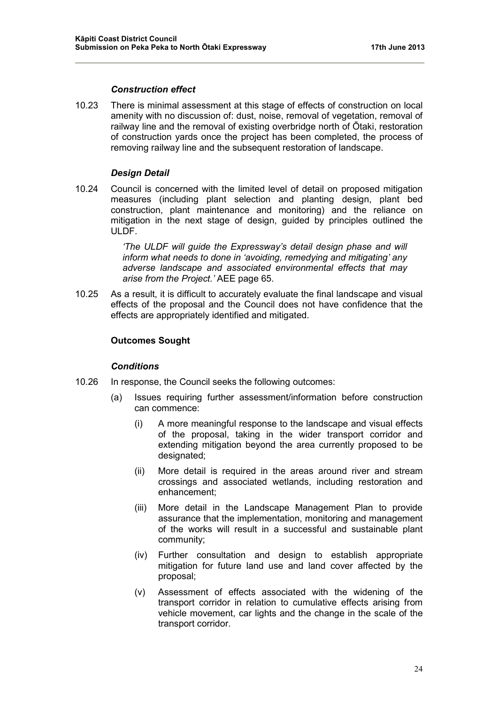#### *Construction effect*

10.23 There is minimal assessment at this stage of effects of construction on local amenity with no discussion of: dust, noise, removal of vegetation, removal of railway line and the removal of existing overbridge north of Ōtaki, restoration of construction yards once the project has been completed, the process of removing railway line and the subsequent restoration of landscape.

#### *Design Detail*

10.24 Council is concerned with the limited level of detail on proposed mitigation measures (including plant selection and planting design, plant bed construction, plant maintenance and monitoring) and the reliance on mitigation in the next stage of design, guided by principles outlined the ULDF.

> *'The ULDF will guide the Expressway's detail design phase and will inform what needs to done in 'avoiding, remedying and mitigating' any adverse landscape and associated environmental effects that may arise from the Project.'* AEE page 65.

10.25 As a result, it is difficult to accurately evaluate the final landscape and visual effects of the proposal and the Council does not have confidence that the effects are appropriately identified and mitigated.

#### **Outcomes Sought**

#### *Conditions*

- 10.26 In response, the Council seeks the following outcomes:
	- (a) Issues requiring further assessment/information before construction can commence:
		- (i) A more meaningful response to the landscape and visual effects of the proposal, taking in the wider transport corridor and extending mitigation beyond the area currently proposed to be designated;
		- (ii) More detail is required in the areas around river and stream crossings and associated wetlands, including restoration and enhancement;
		- (iii) More detail in the Landscape Management Plan to provide assurance that the implementation, monitoring and management of the works will result in a successful and sustainable plant community;
		- (iv) Further consultation and design to establish appropriate mitigation for future land use and land cover affected by the proposal;
		- (v) Assessment of effects associated with the widening of the transport corridor in relation to cumulative effects arising from vehicle movement, car lights and the change in the scale of the transport corridor.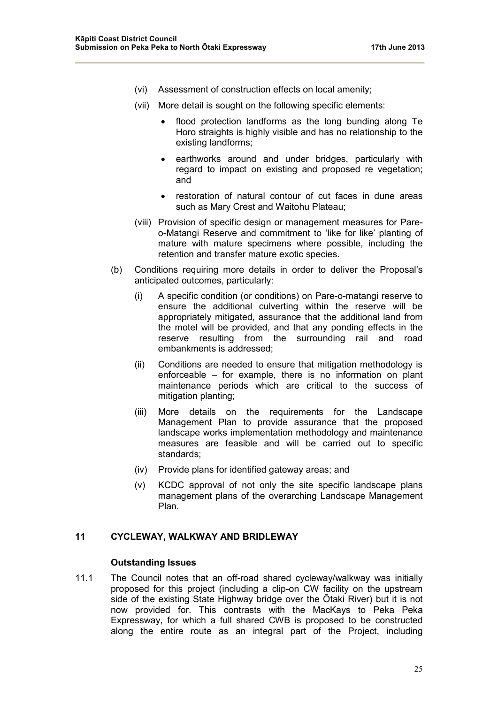- (vi) Assessment of construction effects on local amenity;
- (vii) More detail is sought on the following specific elements:
	- flood protection landforms as the long bunding along Te Horo straights is highly visible and has no relationship to the existing landforms;
	- earthworks around and under bridges, particularly with regard to impact on existing and proposed re vegetation; and
	- restoration of natural contour of cut faces in dune areas such as Mary Crest and Waitohu Plateau;
- (viii) Provision of specific design or management measures for Pareo-Matangi Reserve and commitment to 'like for like' planting of mature with mature specimens where possible, including the retention and transfer mature exotic species.
- (b) Conditions requiring more details in order to deliver the Proposal's anticipated outcomes, particularly:
	- (i) A specific condition (or conditions) on Pare-o-matangi reserve to ensure the additional culverting within the reserve will be appropriately mitigated, assurance that the additional land from the motel will be provided, and that any ponding effects in the reserve resulting from the surrounding rail and road embankments is addressed;
	- (ii) Conditions are needed to ensure that mitigation methodology is enforceable – for example, there is no information on plant maintenance periods which are critical to the success of mitigation planting;
	- (iii) More details on the requirements for the Landscape Management Plan to provide assurance that the proposed landscape works implementation methodology and maintenance measures are feasible and will be carried out to specific standards;
	- (iv) Provide plans for identified gateway areas; and
	- (v) KCDC approval of not only the site specific landscape plans management plans of the overarching Landscape Management Plan.

# **11 CYCLEWAY, WALKWAY AND BRIDLEWAY**

### **Outstanding Issues**

11.1 The Council notes that an off-road shared cycleway/walkway was initially proposed for this project (including a clip-on CW facility on the upstream side of the existing State Highway bridge over the Ōtaki River) but it is not now provided for. This contrasts with the MacKays to Peka Peka Expressway, for which a full shared CWB is proposed to be constructed along the entire route as an integral part of the Project, including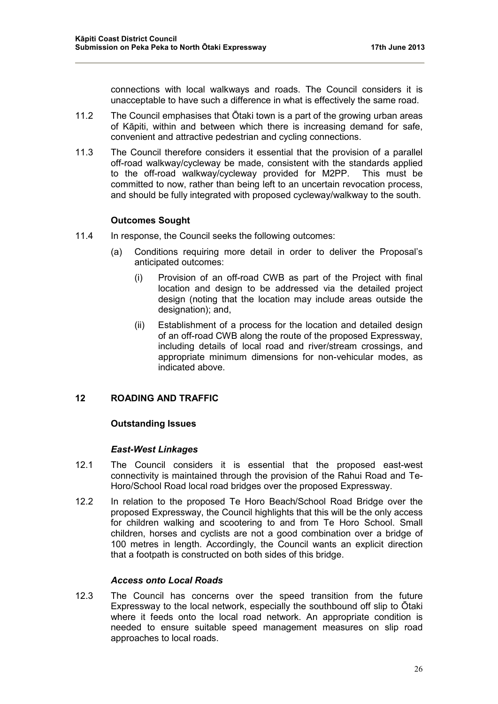connections with local walkways and roads. The Council considers it is unacceptable to have such a difference in what is effectively the same road.

- 11.2 The Council emphasises that Ōtaki town is a part of the growing urban areas of Kāpiti, within and between which there is increasing demand for safe, convenient and attractive pedestrian and cycling connections.
- 11.3 The Council therefore considers it essential that the provision of a parallel off-road walkway/cycleway be made, consistent with the standards applied to the off-road walkway/cycleway provided for M2PP. This must be committed to now, rather than being left to an uncertain revocation process, and should be fully integrated with proposed cycleway/walkway to the south.

### **Outcomes Sought**

- 11.4 In response, the Council seeks the following outcomes:
	- (a) Conditions requiring more detail in order to deliver the Proposal's anticipated outcomes:
		- (i) Provision of an off-road CWB as part of the Project with final location and design to be addressed via the detailed project design (noting that the location may include areas outside the designation); and,
		- (ii) Establishment of a process for the location and detailed design of an off-road CWB along the route of the proposed Expressway, including details of local road and river/stream crossings, and appropriate minimum dimensions for non-vehicular modes, as indicated above.

# **12 ROADING AND TRAFFIC**

# **Outstanding Issues**

#### *East-West Linkages*

- 12.1 The Council considers it is essential that the proposed east-west connectivity is maintained through the provision of the Rahui Road and Te-Horo/School Road local road bridges over the proposed Expressway.
- 12.2 In relation to the proposed Te Horo Beach/School Road Bridge over the proposed Expressway, the Council highlights that this will be the only access for children walking and scootering to and from Te Horo School. Small children, horses and cyclists are not a good combination over a bridge of 100 metres in length. Accordingly, the Council wants an explicit direction that a footpath is constructed on both sides of this bridge.

# *Access onto Local Roads*

12.3 The Council has concerns over the speed transition from the future Expressway to the local network, especially the southbound off slip to Ōtaki where it feeds onto the local road network. An appropriate condition is needed to ensure suitable speed management measures on slip road approaches to local roads.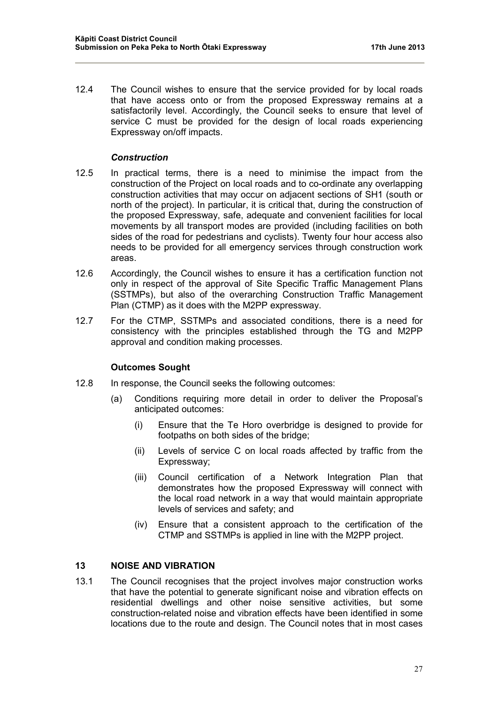12.4 The Council wishes to ensure that the service provided for by local roads that have access onto or from the proposed Expressway remains at a satisfactorily level. Accordingly, the Council seeks to ensure that level of service C must be provided for the design of local roads experiencing Expressway on/off impacts.

### *Construction*

- 12.5 In practical terms, there is a need to minimise the impact from the construction of the Project on local roads and to co-ordinate any overlapping construction activities that may occur on adjacent sections of SH1 (south or north of the project). In particular, it is critical that, during the construction of the proposed Expressway, safe, adequate and convenient facilities for local movements by all transport modes are provided (including facilities on both sides of the road for pedestrians and cyclists). Twenty four hour access also needs to be provided for all emergency services through construction work areas.
- 12.6 Accordingly, the Council wishes to ensure it has a certification function not only in respect of the approval of Site Specific Traffic Management Plans (SSTMPs), but also of the overarching Construction Traffic Management Plan (CTMP) as it does with the M2PP expressway.
- 12.7 For the CTMP, SSTMPs and associated conditions, there is a need for consistency with the principles established through the TG and M2PP approval and condition making processes.

#### **Outcomes Sought**

- 12.8 In response, the Council seeks the following outcomes:
	- (a) Conditions requiring more detail in order to deliver the Proposal's anticipated outcomes:
		- (i) Ensure that the Te Horo overbridge is designed to provide for footpaths on both sides of the bridge;
		- (ii) Levels of service C on local roads affected by traffic from the Expressway;
		- (iii) Council certification of a Network Integration Plan that demonstrates how the proposed Expressway will connect with the local road network in a way that would maintain appropriate levels of services and safety; and
		- (iv) Ensure that a consistent approach to the certification of the CTMP and SSTMPs is applied in line with the M2PP project.

# **13 NOISE AND VIBRATION**

13.1 The Council recognises that the project involves major construction works that have the potential to generate significant noise and vibration effects on residential dwellings and other noise sensitive activities, but some construction-related noise and vibration effects have been identified in some locations due to the route and design. The Council notes that in most cases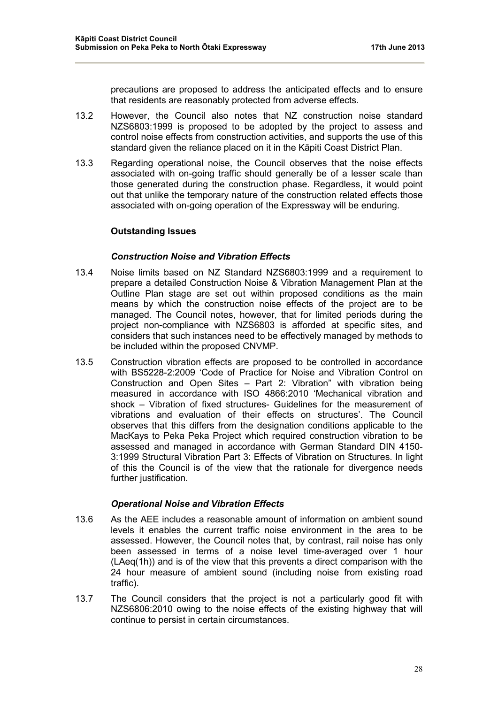precautions are proposed to address the anticipated effects and to ensure that residents are reasonably protected from adverse effects.

- 13.2 However, the Council also notes that NZ construction noise standard NZS6803:1999 is proposed to be adopted by the project to assess and control noise effects from construction activities, and supports the use of this standard given the reliance placed on it in the Kāpiti Coast District Plan.
- 13.3 Regarding operational noise, the Council observes that the noise effects associated with on-going traffic should generally be of a lesser scale than those generated during the construction phase. Regardless, it would point out that unlike the temporary nature of the construction related effects those associated with on-going operation of the Expressway will be enduring.

### **Outstanding Issues**

### *Construction Noise and Vibration Effects*

- 13.4 Noise limits based on NZ Standard NZS6803:1999 and a requirement to prepare a detailed Construction Noise & Vibration Management Plan at the Outline Plan stage are set out within proposed conditions as the main means by which the construction noise effects of the project are to be managed. The Council notes, however, that for limited periods during the project non-compliance with NZS6803 is afforded at specific sites, and considers that such instances need to be effectively managed by methods to be included within the proposed CNVMP.
- 13.5 Construction vibration effects are proposed to be controlled in accordance with BS5228-2:2009 'Code of Practice for Noise and Vibration Control on Construction and Open Sites – Part 2: Vibration" with vibration being measured in accordance with ISO 4866:2010 'Mechanical vibration and shock – Vibration of fixed structures- Guidelines for the measurement of vibrations and evaluation of their effects on structures'. The Council observes that this differs from the designation conditions applicable to the MacKays to Peka Peka Project which required construction vibration to be assessed and managed in accordance with German Standard DIN 4150- 3:1999 Structural Vibration Part 3: Effects of Vibration on Structures. In light of this the Council is of the view that the rationale for divergence needs further justification.

#### *Operational Noise and Vibration Effects*

- 13.6 As the AEE includes a reasonable amount of information on ambient sound levels it enables the current traffic noise environment in the area to be assessed. However, the Council notes that, by contrast, rail noise has only been assessed in terms of a noise level time-averaged over 1 hour (LAeq(1h)) and is of the view that this prevents a direct comparison with the 24 hour measure of ambient sound (including noise from existing road traffic).
- 13.7 The Council considers that the project is not a particularly good fit with NZS6806:2010 owing to the noise effects of the existing highway that will continue to persist in certain circumstances.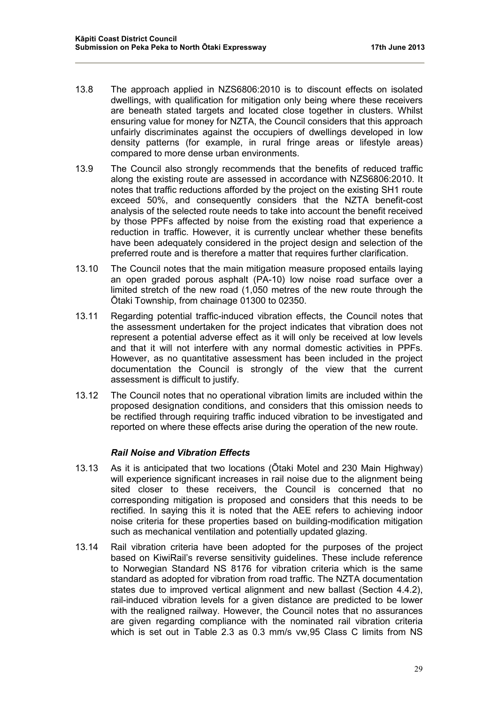- 13.8 The approach applied in NZS6806:2010 is to discount effects on isolated dwellings, with qualification for mitigation only being where these receivers are beneath stated targets and located close together in clusters. Whilst ensuring value for money for NZTA, the Council considers that this approach unfairly discriminates against the occupiers of dwellings developed in low density patterns (for example, in rural fringe areas or lifestyle areas) compared to more dense urban environments.
- 13.9 The Council also strongly recommends that the benefits of reduced traffic along the existing route are assessed in accordance with NZS6806:2010. It notes that traffic reductions afforded by the project on the existing SH1 route exceed 50%, and consequently considers that the NZTA benefit-cost analysis of the selected route needs to take into account the benefit received by those PPFs affected by noise from the existing road that experience a reduction in traffic. However, it is currently unclear whether these benefits have been adequately considered in the project design and selection of the preferred route and is therefore a matter that requires further clarification.
- 13.10 The Council notes that the main mitigation measure proposed entails laying an open graded porous asphalt (PA-10) low noise road surface over a limited stretch of the new road (1,050 metres of the new route through the Ōtaki Township, from chainage 01300 to 02350.
- 13.11 Regarding potential traffic-induced vibration effects, the Council notes that the assessment undertaken for the project indicates that vibration does not represent a potential adverse effect as it will only be received at low levels and that it will not interfere with any normal domestic activities in PPFs. However, as no quantitative assessment has been included in the project documentation the Council is strongly of the view that the current assessment is difficult to justify.
- 13.12 The Council notes that no operational vibration limits are included within the proposed designation conditions, and considers that this omission needs to be rectified through requiring traffic induced vibration to be investigated and reported on where these effects arise during the operation of the new route.

#### *Rail Noise and Vibration Effects*

- 13.13 As it is anticipated that two locations (Ōtaki Motel and 230 Main Highway) will experience significant increases in rail noise due to the alignment being sited closer to these receivers, the Council is concerned that no corresponding mitigation is proposed and considers that this needs to be rectified. In saying this it is noted that the AEE refers to achieving indoor noise criteria for these properties based on building-modification mitigation such as mechanical ventilation and potentially updated glazing.
- 13.14 Rail vibration criteria have been adopted for the purposes of the project based on KiwiRail's reverse sensitivity guidelines. These include reference to Norwegian Standard NS 8176 for vibration criteria which is the same standard as adopted for vibration from road traffic. The NZTA documentation states due to improved vertical alignment and new ballast (Section 4.4.2), rail-induced vibration levels for a given distance are predicted to be lower with the realigned railway. However, the Council notes that no assurances are given regarding compliance with the nominated rail vibration criteria which is set out in Table 2.3 as 0.3 mm/s vw,95 Class C limits from NS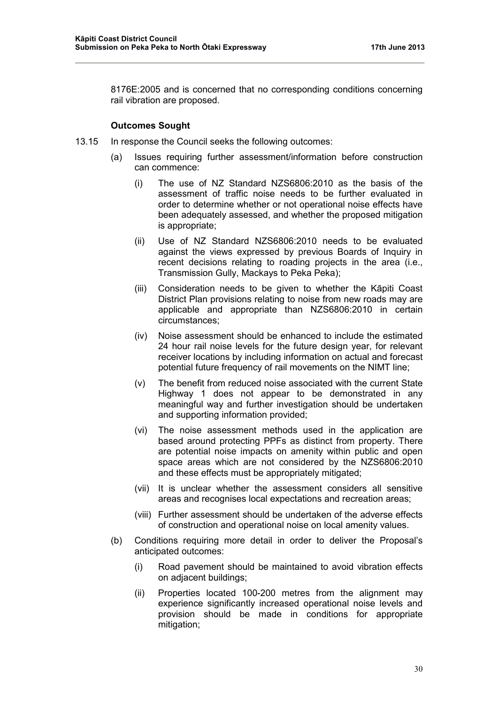8176E:2005 and is concerned that no corresponding conditions concerning rail vibration are proposed.

### **Outcomes Sought**

- 13.15 In response the Council seeks the following outcomes:
	- (a) Issues requiring further assessment/information before construction can commence:
		- (i) The use of NZ Standard NZS6806:2010 as the basis of the assessment of traffic noise needs to be further evaluated in order to determine whether or not operational noise effects have been adequately assessed, and whether the proposed mitigation is appropriate;
		- (ii) Use of NZ Standard NZS6806:2010 needs to be evaluated against the views expressed by previous Boards of Inquiry in recent decisions relating to roading projects in the area (i.e., Transmission Gully, Mackays to Peka Peka);
		- (iii) Consideration needs to be given to whether the Kāpiti Coast District Plan provisions relating to noise from new roads may are applicable and appropriate than NZS6806:2010 in certain circumstances;
		- (iv) Noise assessment should be enhanced to include the estimated 24 hour rail noise levels for the future design year, for relevant receiver locations by including information on actual and forecast potential future frequency of rail movements on the NIMT line;
		- (v) The benefit from reduced noise associated with the current State Highway 1 does not appear to be demonstrated in any meaningful way and further investigation should be undertaken and supporting information provided;
		- (vi) The noise assessment methods used in the application are based around protecting PPFs as distinct from property. There are potential noise impacts on amenity within public and open space areas which are not considered by the NZS6806:2010 and these effects must be appropriately mitigated;
		- (vii) It is unclear whether the assessment considers all sensitive areas and recognises local expectations and recreation areas;
		- (viii) Further assessment should be undertaken of the adverse effects of construction and operational noise on local amenity values.
	- (b) Conditions requiring more detail in order to deliver the Proposal's anticipated outcomes:
		- (i) Road pavement should be maintained to avoid vibration effects on adjacent buildings;
		- (ii) Properties located 100-200 metres from the alignment may experience significantly increased operational noise levels and provision should be made in conditions for appropriate mitigation;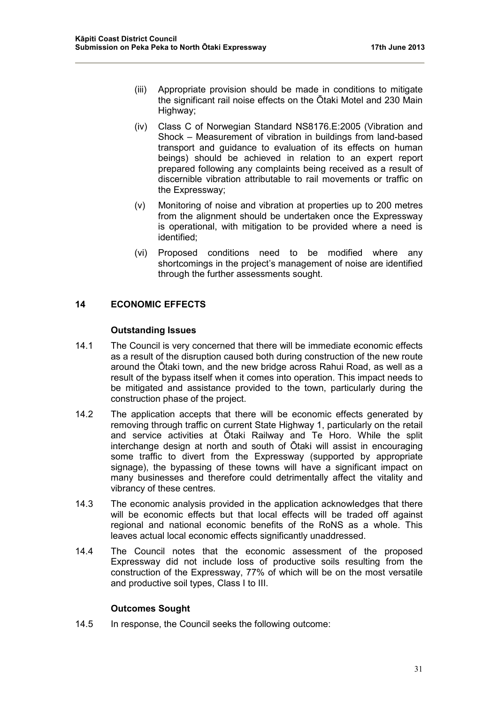- (iii) Appropriate provision should be made in conditions to mitigate the significant rail noise effects on the Ōtaki Motel and 230 Main Highway;
- (iv) Class C of Norwegian Standard NS8176.E:2005 (Vibration and Shock – Measurement of vibration in buildings from land-based transport and guidance to evaluation of its effects on human beings) should be achieved in relation to an expert report prepared following any complaints being received as a result of discernible vibration attributable to rail movements or traffic on the Expressway;
- (v) Monitoring of noise and vibration at properties up to 200 metres from the alignment should be undertaken once the Expressway is operational, with mitigation to be provided where a need is identified;
- (vi) Proposed conditions need to be modified where any shortcomings in the project's management of noise are identified through the further assessments sought.

# **14 ECONOMIC EFFECTS**

### **Outstanding Issues**

- 14.1 The Council is very concerned that there will be immediate economic effects as a result of the disruption caused both during construction of the new route around the Ōtaki town, and the new bridge across Rahui Road, as well as a result of the bypass itself when it comes into operation. This impact needs to be mitigated and assistance provided to the town, particularly during the construction phase of the project.
- 14.2 The application accepts that there will be economic effects generated by removing through traffic on current State Highway 1, particularly on the retail and service activities at Ōtaki Railway and Te Horo. While the split interchange design at north and south of Ōtaki will assist in encouraging some traffic to divert from the Expressway (supported by appropriate signage), the bypassing of these towns will have a significant impact on many businesses and therefore could detrimentally affect the vitality and vibrancy of these centres.
- 14.3 The economic analysis provided in the application acknowledges that there will be economic effects but that local effects will be traded off against regional and national economic benefits of the RoNS as a whole. This leaves actual local economic effects significantly unaddressed.
- 14.4 The Council notes that the economic assessment of the proposed Expressway did not include loss of productive soils resulting from the construction of the Expressway, 77% of which will be on the most versatile and productive soil types, Class I to III.

# **Outcomes Sought**

14.5 In response, the Council seeks the following outcome: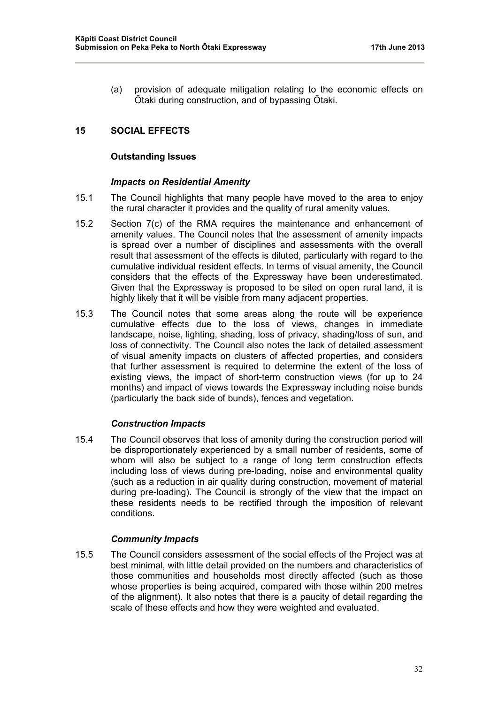(a) provision of adequate mitigation relating to the economic effects on Ōtaki during construction, and of bypassing Ōtaki.

# **15 SOCIAL EFFECTS**

# **Outstanding Issues**

### *Impacts on Residential Amenity*

- 15.1 The Council highlights that many people have moved to the area to enjoy the rural character it provides and the quality of rural amenity values.
- 15.2 Section 7(c) of the RMA requires the maintenance and enhancement of amenity values. The Council notes that the assessment of amenity impacts is spread over a number of disciplines and assessments with the overall result that assessment of the effects is diluted, particularly with regard to the cumulative individual resident effects. In terms of visual amenity, the Council considers that the effects of the Expressway have been underestimated. Given that the Expressway is proposed to be sited on open rural land, it is highly likely that it will be visible from many adjacent properties.
- 15.3 The Council notes that some areas along the route will be experience cumulative effects due to the loss of views, changes in immediate landscape, noise, lighting, shading, loss of privacy, shading/loss of sun, and loss of connectivity. The Council also notes the lack of detailed assessment of visual amenity impacts on clusters of affected properties, and considers that further assessment is required to determine the extent of the loss of existing views, the impact of short-term construction views (for up to 24 months) and impact of views towards the Expressway including noise bunds (particularly the back side of bunds), fences and vegetation.

# *Construction Impacts*

15.4 The Council observes that loss of amenity during the construction period will be disproportionately experienced by a small number of residents, some of whom will also be subject to a range of long term construction effects including loss of views during pre-loading, noise and environmental quality (such as a reduction in air quality during construction, movement of material during pre-loading). The Council is strongly of the view that the impact on these residents needs to be rectified through the imposition of relevant conditions.

# *Community Impacts*

15.5 The Council considers assessment of the social effects of the Project was at best minimal, with little detail provided on the numbers and characteristics of those communities and households most directly affected (such as those whose properties is being acquired, compared with those within 200 metres of the alignment). It also notes that there is a paucity of detail regarding the scale of these effects and how they were weighted and evaluated.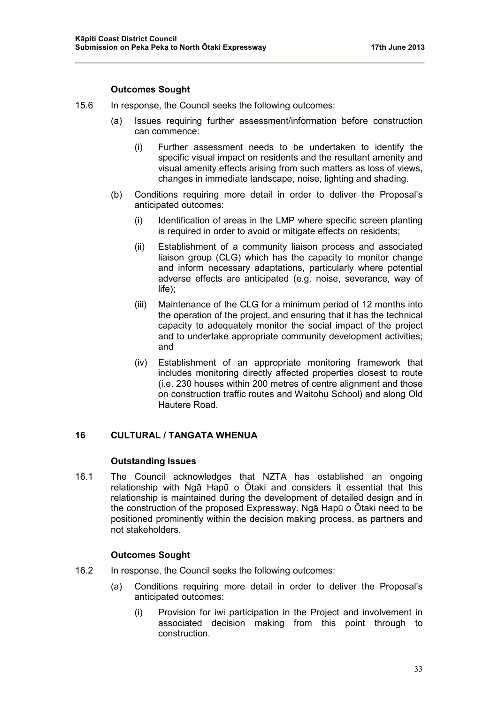### **Outcomes Sought**

- 15.6 In response, the Council seeks the following outcomes:
	- (a) Issues requiring further assessment/information before construction can commence:
		- (i) Further assessment needs to be undertaken to identify the specific visual impact on residents and the resultant amenity and visual amenity effects arising from such matters as loss of views, changes in immediate landscape, noise, lighting and shading.
	- (b) Conditions requiring more detail in order to deliver the Proposal's anticipated outcomes:
		- (i) Identification of areas in the LMP where specific screen planting is required in order to avoid or mitigate effects on residents;
		- (ii) Establishment of a community liaison process and associated liaison group (CLG) which has the capacity to monitor change and inform necessary adaptations, particularly where potential adverse effects are anticipated (e.g. noise, severance, way of life);
		- (iii) Maintenance of the CLG for a minimum period of 12 months into the operation of the project, and ensuring that it has the technical capacity to adequately monitor the social impact of the project and to undertake appropriate community development activities; and
		- (iv) Establishment of an appropriate monitoring framework that includes monitoring directly affected properties closest to route (i.e. 230 houses within 200 metres of centre alignment and those on construction traffic routes and Waitohu School) and along Old Hautere Road.

# **16 CULTURAL / TANGATA WHENUA**

#### **Outstanding Issues**

16.1 The Council acknowledges that NZTA has established an ongoing relationship with Ngā Hapū o Ōtaki and considers it essential that this relationship is maintained during the development of detailed design and in the construction of the proposed Expressway. Ngā Hapū o Ōtaki need to be positioned prominently within the decision making process, as partners and not stakeholders.

# **Outcomes Sought**

- 16.2 In response, the Council seeks the following outcomes:
	- (a) Conditions requiring more detail in order to deliver the Proposal's anticipated outcomes:
		- (i) Provision for iwi participation in the Project and involvement in associated decision making from this point through to construction.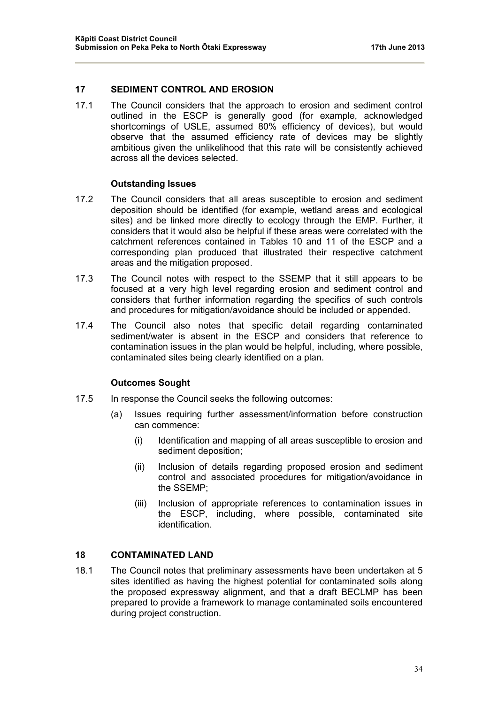#### **17 SEDIMENT CONTROL AND EROSION**

17.1 The Council considers that the approach to erosion and sediment control outlined in the ESCP is generally good (for example, acknowledged shortcomings of USLE, assumed 80% efficiency of devices), but would observe that the assumed efficiency rate of devices may be slightly ambitious given the unlikelihood that this rate will be consistently achieved across all the devices selected.

#### **Outstanding Issues**

- 17.2 The Council considers that all areas susceptible to erosion and sediment deposition should be identified (for example, wetland areas and ecological sites) and be linked more directly to ecology through the EMP. Further, it considers that it would also be helpful if these areas were correlated with the catchment references contained in Tables 10 and 11 of the ESCP and a corresponding plan produced that illustrated their respective catchment areas and the mitigation proposed.
- 17.3 The Council notes with respect to the SSEMP that it still appears to be focused at a very high level regarding erosion and sediment control and considers that further information regarding the specifics of such controls and procedures for mitigation/avoidance should be included or appended.
- 17.4 The Council also notes that specific detail regarding contaminated sediment/water is absent in the ESCP and considers that reference to contamination issues in the plan would be helpful, including, where possible, contaminated sites being clearly identified on a plan.

#### **Outcomes Sought**

- 17.5 In response the Council seeks the following outcomes:
	- (a) Issues requiring further assessment/information before construction can commence:
		- (i) Identification and mapping of all areas susceptible to erosion and sediment deposition;
		- (ii) Inclusion of details regarding proposed erosion and sediment control and associated procedures for mitigation/avoidance in the SSEMP;
		- (iii) Inclusion of appropriate references to contamination issues in the ESCP, including, where possible, contaminated site identification.

# **18 CONTAMINATED LAND**

18.1 The Council notes that preliminary assessments have been undertaken at 5 sites identified as having the highest potential for contaminated soils along the proposed expressway alignment, and that a draft BECLMP has been prepared to provide a framework to manage contaminated soils encountered during project construction.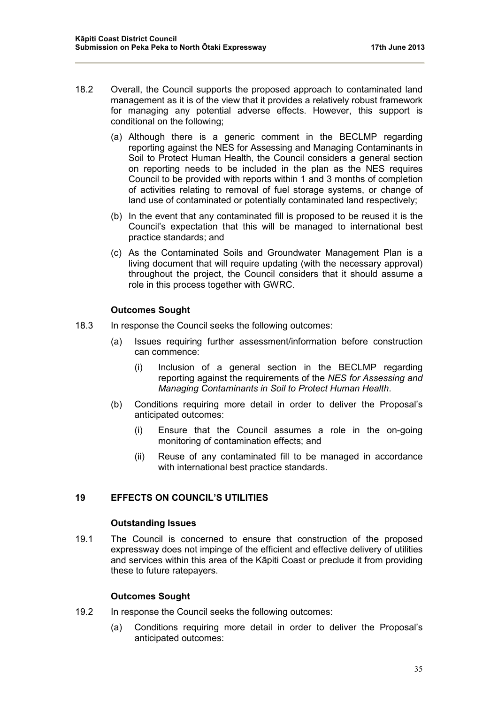- 18.2 Overall, the Council supports the proposed approach to contaminated land management as it is of the view that it provides a relatively robust framework for managing any potential adverse effects. However, this support is conditional on the following;
	- (a) Although there is a generic comment in the BECLMP regarding reporting against the NES for Assessing and Managing Contaminants in Soil to Protect Human Health, the Council considers a general section on reporting needs to be included in the plan as the NES requires Council to be provided with reports within 1 and 3 months of completion of activities relating to removal of fuel storage systems, or change of land use of contaminated or potentially contaminated land respectively;
	- (b) In the event that any contaminated fill is proposed to be reused it is the Council's expectation that this will be managed to international best practice standards; and
	- (c) As the Contaminated Soils and Groundwater Management Plan is a living document that will require updating (with the necessary approval) throughout the project, the Council considers that it should assume a role in this process together with GWRC.

# **Outcomes Sought**

- 18.3 In response the Council seeks the following outcomes:
	- (a) Issues requiring further assessment/information before construction can commence:
		- (i) Inclusion of a general section in the BECLMP regarding reporting against the requirements of the *NES for Assessing and Managing Contaminants in Soil to Protect Human Health*.
	- (b) Conditions requiring more detail in order to deliver the Proposal's anticipated outcomes:
		- (i) Ensure that the Council assumes a role in the on-going monitoring of contamination effects; and
		- (ii) Reuse of any contaminated fill to be managed in accordance with international best practice standards.

# **19 EFFECTS ON COUNCIL'S UTILITIES**

# **Outstanding Issues**

19.1 The Council is concerned to ensure that construction of the proposed expressway does not impinge of the efficient and effective delivery of utilities and services within this area of the Kāpiti Coast or preclude it from providing these to future ratepayers.

# **Outcomes Sought**

- 19.2 In response the Council seeks the following outcomes:
	- (a) Conditions requiring more detail in order to deliver the Proposal's anticipated outcomes: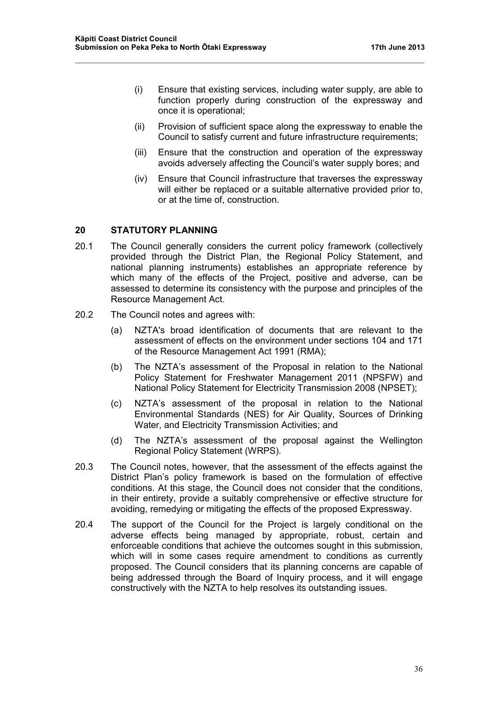- (i) Ensure that existing services, including water supply, are able to function properly during construction of the expressway and once it is operational;
- (ii) Provision of sufficient space along the expressway to enable the Council to satisfy current and future infrastructure requirements;
- (iii) Ensure that the construction and operation of the expressway avoids adversely affecting the Council's water supply bores; and
- (iv) Ensure that Council infrastructure that traverses the expressway will either be replaced or a suitable alternative provided prior to, or at the time of, construction.

# **20 STATUTORY PLANNING**

- 20.1 The Council generally considers the current policy framework (collectively provided through the District Plan, the Regional Policy Statement, and national planning instruments) establishes an appropriate reference by which many of the effects of the Project, positive and adverse, can be assessed to determine its consistency with the purpose and principles of the Resource Management Act.
- 20.2 The Council notes and agrees with:
	- (a) NZTA's broad identification of documents that are relevant to the assessment of effects on the environment under sections 104 and 171 of the Resource Management Act 1991 (RMA);
	- (b) The NZTA's assessment of the Proposal in relation to the National Policy Statement for Freshwater Management 2011 (NPSFW) and National Policy Statement for Electricity Transmission 2008 (NPSET);
	- (c) NZTA's assessment of the proposal in relation to the National Environmental Standards (NES) for Air Quality, Sources of Drinking Water, and Electricity Transmission Activities; and
	- (d) The NZTA's assessment of the proposal against the Wellington Regional Policy Statement (WRPS).
- 20.3 The Council notes, however, that the assessment of the effects against the District Plan's policy framework is based on the formulation of effective conditions. At this stage, the Council does not consider that the conditions, in their entirety, provide a suitably comprehensive or effective structure for avoiding, remedying or mitigating the effects of the proposed Expressway.
- 20.4 The support of the Council for the Project is largely conditional on the adverse effects being managed by appropriate, robust, certain and enforceable conditions that achieve the outcomes sought in this submission, which will in some cases require amendment to conditions as currently proposed. The Council considers that its planning concerns are capable of being addressed through the Board of Inquiry process, and it will engage constructively with the NZTA to help resolves its outstanding issues.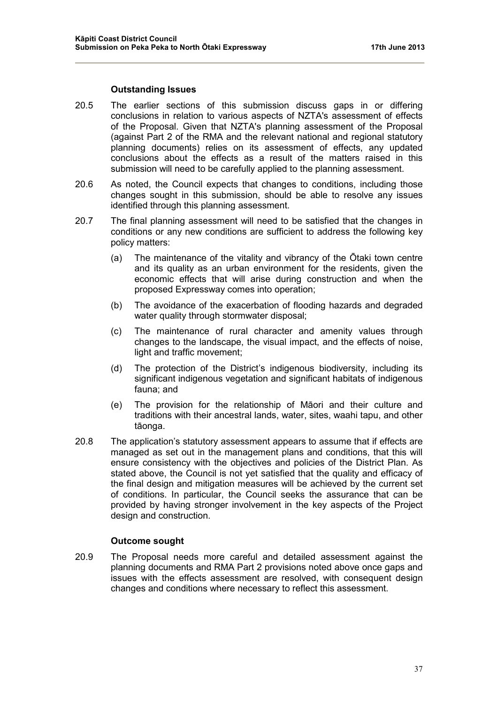#### **Outstanding Issues**

- 20.5 The earlier sections of this submission discuss gaps in or differing conclusions in relation to various aspects of NZTA's assessment of effects of the Proposal. Given that NZTA's planning assessment of the Proposal (against Part 2 of the RMA and the relevant national and regional statutory planning documents) relies on its assessment of effects, any updated conclusions about the effects as a result of the matters raised in this submission will need to be carefully applied to the planning assessment.
- 20.6 As noted, the Council expects that changes to conditions, including those changes sought in this submission, should be able to resolve any issues identified through this planning assessment.
- 20.7 The final planning assessment will need to be satisfied that the changes in conditions or any new conditions are sufficient to address the following key policy matters:
	- (a) The maintenance of the vitality and vibrancy of the Ōtaki town centre and its quality as an urban environment for the residents, given the economic effects that will arise during construction and when the proposed Expressway comes into operation;
	- (b) The avoidance of the exacerbation of flooding hazards and degraded water quality through stormwater disposal;
	- (c) The maintenance of rural character and amenity values through changes to the landscape, the visual impact, and the effects of noise, light and traffic movement;
	- (d) The protection of the District's indigenous biodiversity, including its significant indigenous vegetation and significant habitats of indigenous fauna; and
	- (e) The provision for the relationship of Māori and their culture and traditions with their ancestral lands, water, sites, waahi tapu, and other tāonga.
- 20.8 The application's statutory assessment appears to assume that if effects are managed as set out in the management plans and conditions, that this will ensure consistency with the objectives and policies of the District Plan. As stated above, the Council is not yet satisfied that the quality and efficacy of the final design and mitigation measures will be achieved by the current set of conditions. In particular, the Council seeks the assurance that can be provided by having stronger involvement in the key aspects of the Project design and construction.

#### **Outcome sought**

20.9 The Proposal needs more careful and detailed assessment against the planning documents and RMA Part 2 provisions noted above once gaps and issues with the effects assessment are resolved, with consequent design changes and conditions where necessary to reflect this assessment.